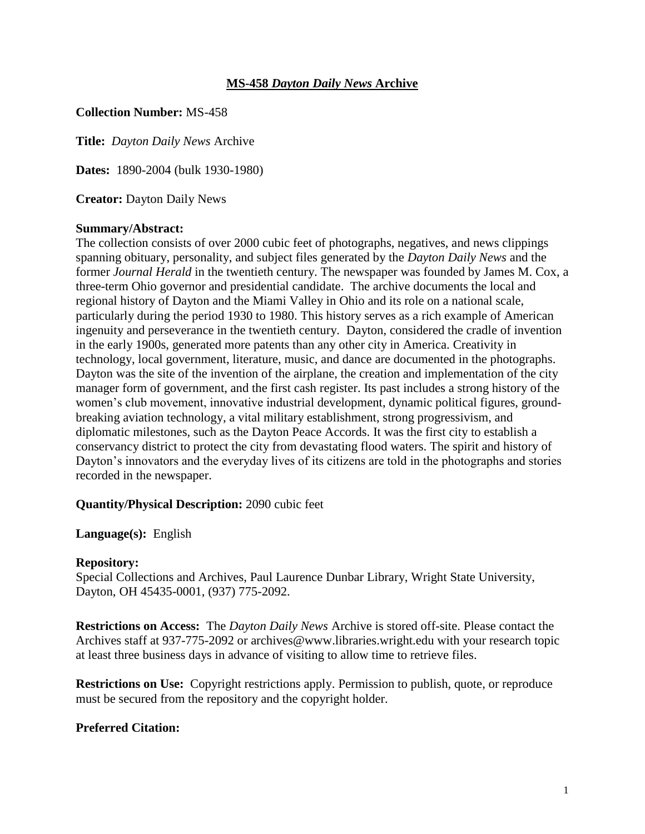## **MS-458** *Dayton Daily News* **Archive**

## **Collection Number:** MS-458

**Title:** *Dayton Daily News* Archive

**Dates:** 1890-2004 (bulk 1930-1980)

**Creator:** Dayton Daily News

## **Summary/Abstract:**

The collection consists of over 2000 cubic feet of photographs, negatives, and news clippings spanning obituary, personality, and subject files generated by the *Dayton Daily News* and the former *Journal Herald* in the twentieth century. The newspaper was founded by James M. Cox, a three-term Ohio governor and presidential candidate. The archive documents the local and regional history of Dayton and the Miami Valley in Ohio and its role on a national scale, particularly during the period 1930 to 1980. This history serves as a rich example of American ingenuity and perseverance in the twentieth century. Dayton, considered the cradle of invention in the early 1900s, generated more patents than any other city in America. Creativity in technology, local government, literature, music, and dance are documented in the photographs. Dayton was the site of the invention of the airplane, the creation and implementation of the city manager form of government, and the first cash register. Its past includes a strong history of the women's club movement, innovative industrial development, dynamic political figures, groundbreaking aviation technology, a vital military establishment, strong progressivism, and diplomatic milestones, such as the Dayton Peace Accords. It was the first city to establish a conservancy district to protect the city from devastating flood waters. The spirit and history of Dayton's innovators and the everyday lives of its citizens are told in the photographs and stories recorded in the newspaper.

## **Quantity/Physical Description:** 2090 cubic feet

## **Language(s):** English

## **Repository:**

Special Collections and Archives, Paul Laurence Dunbar Library, Wright State University, Dayton, OH 45435-0001, (937) 775-2092.

**Restrictions on Access:** The *Dayton Daily News* Archive is stored off-site. Please contact the Archives staff at 937-775-2092 or archives@www.libraries.wright.edu with your research topic at least three business days in advance of visiting to allow time to retrieve files.

**Restrictions on Use:** Copyright restrictions apply. Permission to publish, quote, or reproduce must be secured from the repository and the copyright holder.

# **Preferred Citation:**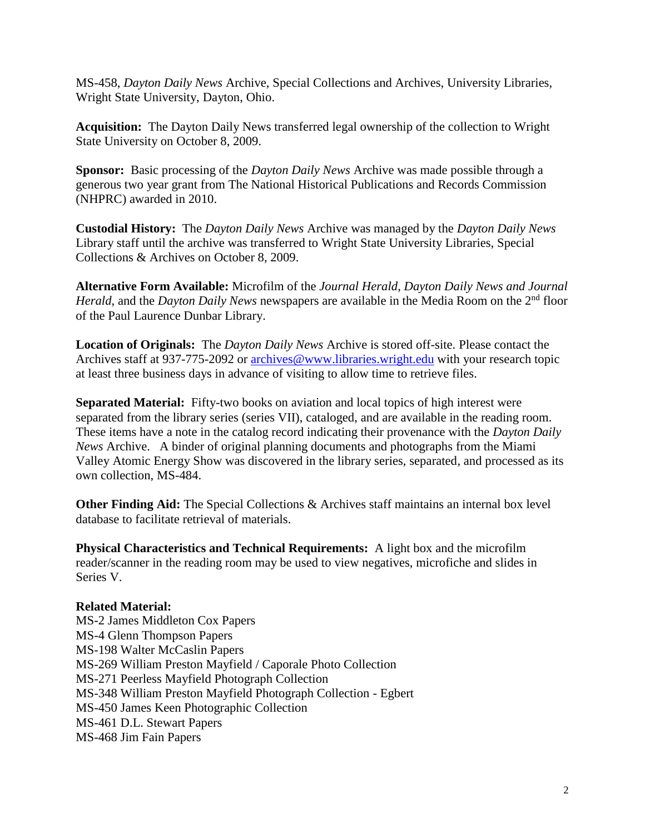MS-458, *Dayton Daily News* Archive, Special Collections and Archives, University Libraries, Wright State University, Dayton, Ohio.

**Acquisition:** The Dayton Daily News transferred legal ownership of the collection to Wright State University on October 8, 2009.

**Sponsor:** Basic processing of the *Dayton Daily News* Archive was made possible through a generous two year grant from The National Historical Publications and Records Commission (NHPRC) awarded in 2010.

**Custodial History:** The *Dayton Daily News* Archive was managed by the *Dayton Daily News* Library staff until the archive was transferred to Wright State University Libraries, Special Collections & Archives on October 8, 2009.

**Alternative Form Available:** Microfilm of the *Journal Herald*, *Dayton Daily News and Journal Herald*, and the *Dayton Daily News* newspapers are available in the Media Room on the 2<sup>nd</sup> floor of the Paul Laurence Dunbar Library.

**Location of Originals:** The *Dayton Daily News* Archive is stored off-site. Please contact the Archives staff at 937-775-2092 or [archives@www.libraries.wright.edu](mailto:archives@www.libraries.wright.edu) with your research topic at least three business days in advance of visiting to allow time to retrieve files.

**Separated Material:** Fifty-two books on aviation and local topics of high interest were separated from the library series (series VII), cataloged, and are available in the reading room. These items have a note in the catalog record indicating their provenance with the *Dayton Daily News* Archive. A binder of original planning documents and photographs from the Miami Valley Atomic Energy Show was discovered in the library series, separated, and processed as its own collection, MS-484.

**Other Finding Aid:** The Special Collections & Archives staff maintains an internal box level database to facilitate retrieval of materials.

**Physical Characteristics and Technical Requirements:** A light box and the microfilm reader/scanner in the reading room may be used to view negatives, microfiche and slides in Series V.

# **Related Material:**

MS-2 James Middleton Cox Papers MS-4 Glenn Thompson Papers MS-198 Walter McCaslin Papers MS-269 William Preston Mayfield / Caporale Photo Collection MS-271 Peerless Mayfield Photograph Collection MS-348 William Preston Mayfield Photograph Collection - Egbert MS-450 James Keen Photographic Collection MS-461 D.L. Stewart Papers MS-468 Jim Fain Papers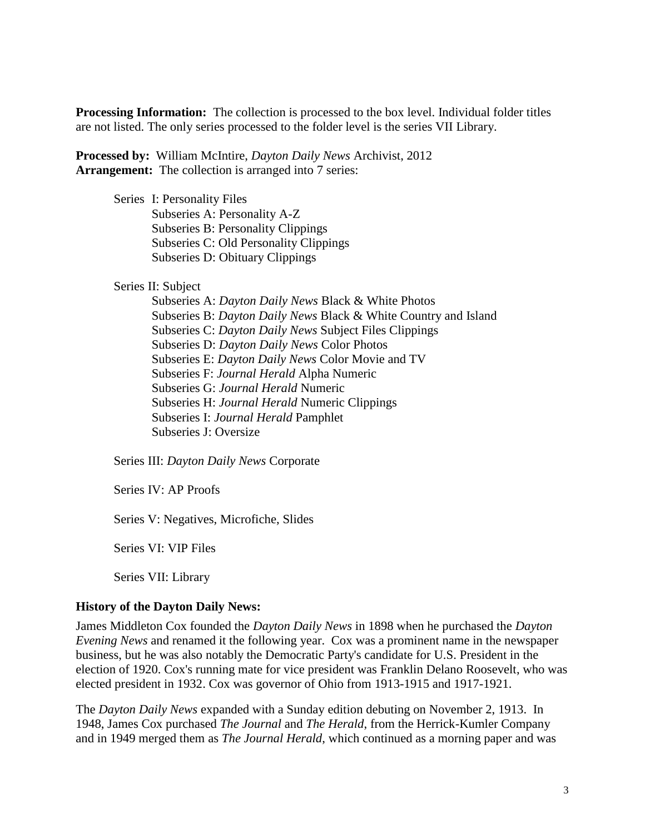**Processing Information:** The collection is processed to the box level. Individual folder titles are not listed. The only series processed to the folder level is the series VII Library.

**Processed by:** William McIntire, *Dayton Daily News* Archivist, 2012 Arrangement: The collection is arranged into 7 series:

> Series I: Personality Files Subseries A: Personality A-Z Subseries B: Personality Clippings Subseries C: Old Personality Clippings Subseries D: Obituary Clippings

Series II: Subject

Subseries A: *Dayton Daily News* Black & White Photos Subseries B: *Dayton Daily News* Black & White Country and Island Subseries C: *Dayton Daily News* Subject Files Clippings Subseries D: *Dayton Daily News* Color Photos Subseries E: *Dayton Daily News* Color Movie and TV Subseries F: *Journal Herald* Alpha Numeric Subseries G: *Journal Herald* Numeric Subseries H: *Journal Herald* Numeric Clippings Subseries I: *Journal Herald* Pamphlet Subseries J: Oversize

Series III: *Dayton Daily News* Corporate

Series IV: AP Proofs

Series V: Negatives, Microfiche, Slides

Series VI: VIP Files

Series VII: Library

## **History of the Dayton Daily News:**

James Middleton Cox founded the *Dayton Daily News* in 1898 when he purchased the *Dayton Evening News* and renamed it the following year. Cox was a prominent name in the newspaper business, but he was also notably the Democratic Party's candidate for U.S. President in the election of 1920. Cox's running mate for vice president was Franklin Delano Roosevelt, who was elected president in 1932. Cox was governor of Ohio from 1913-1915 and 1917-1921.

The *Dayton Daily News* expanded with a Sunday edition debuting on November 2, 1913. In 1948, James Cox purchased *The Journal* and *The Herald*, from the Herrick-Kumler Company and in 1949 merged them as *The Journal Herald*, which continued as a morning paper and was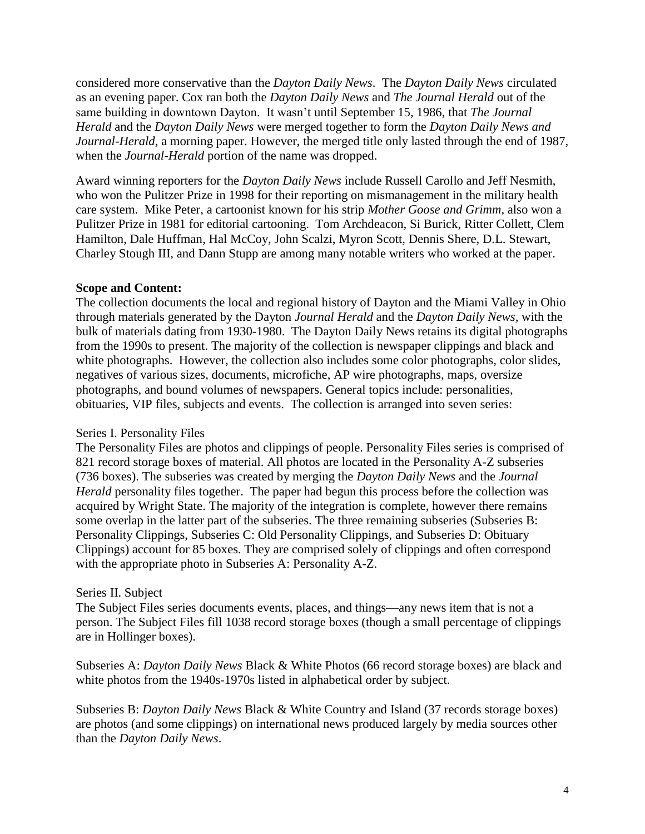considered more conservative than the *Dayton Daily News*. The *Dayton Daily News* circulated as an evening paper. Cox ran both the *Dayton Daily News* and *The Journal Herald* out of the same building in downtown Dayton. It wasn't until September 15, 1986, that *The Journal Herald* and the *Dayton Daily News* were merged together to form the *Dayton Daily News and Journal-Herald*, a morning paper. However, the merged title only lasted through the end of 1987, when the *Journal-Herald* portion of the name was dropped.

Award winning reporters for the *Dayton Daily News* include Russell Carollo and Jeff Nesmith, who won the Pulitzer Prize in 1998 for their reporting on mismanagement in the military health care system. Mike Peter, a cartoonist known for his strip *Mother Goose and Grimm*, also won a Pulitzer Prize in 1981 for editorial cartooning. Tom Archdeacon, Si Burick, Ritter Collett, Clem Hamilton, Dale Huffman, Hal McCoy, John Scalzi, Myron Scott, Dennis Shere, D.L. Stewart, Charley Stough III, and Dann Stupp are among many notable writers who worked at the paper.

## **Scope and Content:**

The collection documents the local and regional history of Dayton and the Miami Valley in Ohio through materials generated by the Dayton *Journal Herald* and the *Dayton Daily News,* with the bulk of materials dating from 1930-1980. The Dayton Daily News retains its digital photographs from the 1990s to present. The majority of the collection is newspaper clippings and black and white photographs. However, the collection also includes some color photographs, color slides, negatives of various sizes, documents, microfiche, AP wire photographs, maps, oversize photographs, and bound volumes of newspapers. General topics include: personalities, obituaries, VIP files, subjects and events. The collection is arranged into seven series:

# Series I. Personality Files

The Personality Files are photos and clippings of people. Personality Files series is comprised of 821 record storage boxes of material. All photos are located in the Personality A-Z subseries (736 boxes). The subseries was created by merging the *Dayton Daily News* and the *Journal Herald* personality files together. The paper had begun this process before the collection was acquired by Wright State. The majority of the integration is complete, however there remains some overlap in the latter part of the subseries. The three remaining subseries (Subseries B: Personality Clippings, Subseries C: Old Personality Clippings, and Subseries D: Obituary Clippings) account for 85 boxes. They are comprised solely of clippings and often correspond with the appropriate photo in Subseries A: Personality A-Z.

# Series II. Subject

The Subject Files series documents events, places, and things—any news item that is not a person. The Subject Files fill 1038 record storage boxes (though a small percentage of clippings are in Hollinger boxes).

Subseries A: *Dayton Daily News* Black & White Photos (66 record storage boxes) are black and white photos from the 1940s-1970s listed in alphabetical order by subject.

Subseries B: *Dayton Daily News* Black & White Country and Island (37 records storage boxes) are photos (and some clippings) on international news produced largely by media sources other than the *Dayton Daily News*.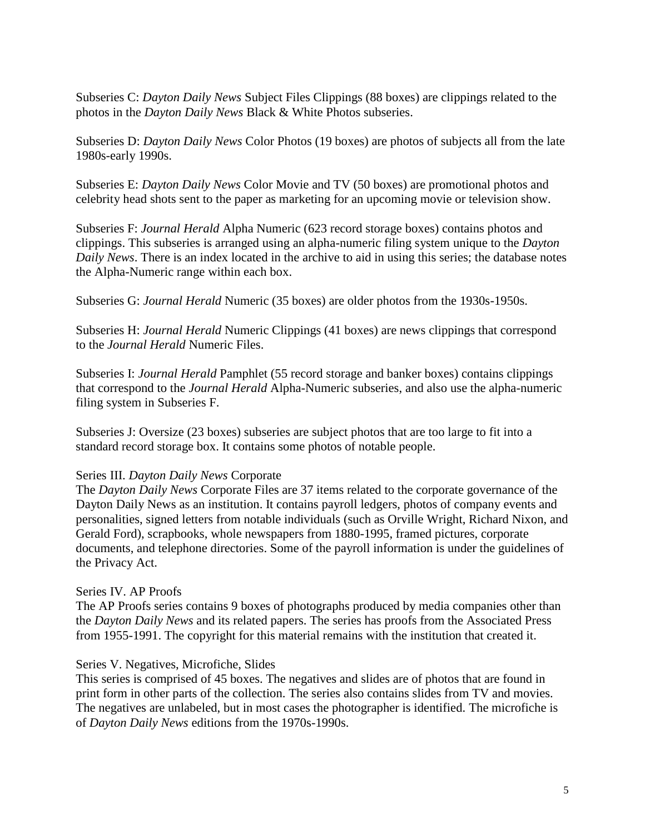Subseries C: *Dayton Daily News* Subject Files Clippings (88 boxes) are clippings related to the photos in the *Dayton Daily News* Black & White Photos subseries.

Subseries D: *Dayton Daily News* Color Photos (19 boxes) are photos of subjects all from the late 1980s-early 1990s.

Subseries E: *Dayton Daily News* Color Movie and TV (50 boxes) are promotional photos and celebrity head shots sent to the paper as marketing for an upcoming movie or television show.

Subseries F: *Journal Herald* Alpha Numeric (623 record storage boxes) contains photos and clippings. This subseries is arranged using an alpha-numeric filing system unique to the *Dayton Daily News*. There is an index located in the archive to aid in using this series; the database notes the Alpha-Numeric range within each box.

Subseries G: *Journal Herald* Numeric (35 boxes) are older photos from the 1930s-1950s.

Subseries H: *Journal Herald* Numeric Clippings (41 boxes) are news clippings that correspond to the *Journal Herald* Numeric Files.

Subseries I: *Journal Herald* Pamphlet (55 record storage and banker boxes) contains clippings that correspond to the *Journal Herald* Alpha-Numeric subseries, and also use the alpha-numeric filing system in Subseries F.

Subseries J: Oversize (23 boxes) subseries are subject photos that are too large to fit into a standard record storage box. It contains some photos of notable people.

## Series III. *Dayton Daily News* Corporate

The *Dayton Daily News* Corporate Files are 37 items related to the corporate governance of the Dayton Daily News as an institution. It contains payroll ledgers, photos of company events and personalities, signed letters from notable individuals (such as Orville Wright, Richard Nixon, and Gerald Ford), scrapbooks, whole newspapers from 1880-1995, framed pictures, corporate documents, and telephone directories. Some of the payroll information is under the guidelines of the Privacy Act.

## Series IV. AP Proofs

The AP Proofs series contains 9 boxes of photographs produced by media companies other than the *Dayton Daily News* and its related papers. The series has proofs from the Associated Press from 1955-1991. The copyright for this material remains with the institution that created it.

## Series V. Negatives, Microfiche, Slides

This series is comprised of 45 boxes. The negatives and slides are of photos that are found in print form in other parts of the collection. The series also contains slides from TV and movies. The negatives are unlabeled, but in most cases the photographer is identified. The microfiche is of *Dayton Daily News* editions from the 1970s-1990s.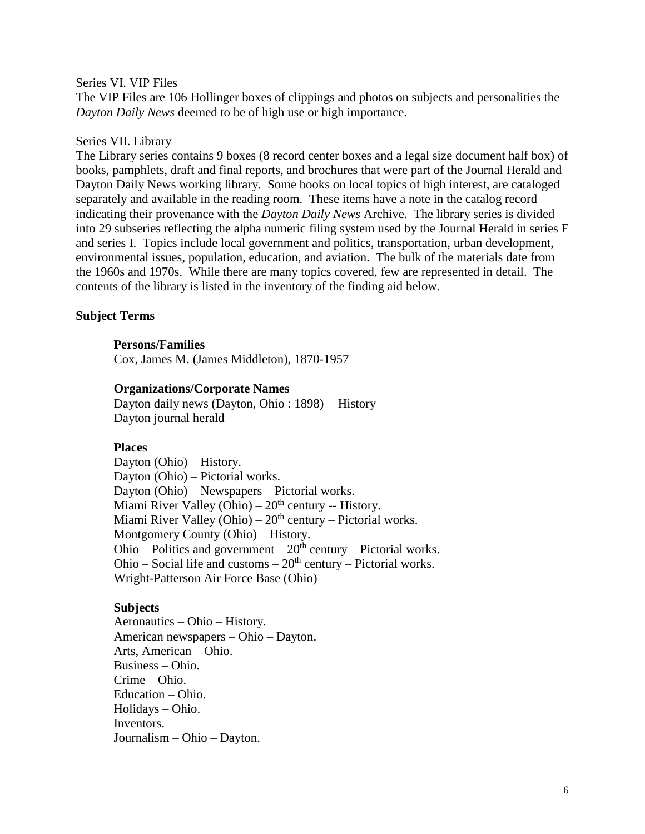#### Series VI. VIP Files

The VIP Files are 106 Hollinger boxes of clippings and photos on subjects and personalities the *Dayton Daily News* deemed to be of high use or high importance.

#### Series VII. Library

The Library series contains 9 boxes (8 record center boxes and a legal size document half box) of books, pamphlets, draft and final reports, and brochures that were part of the Journal Herald and Dayton Daily News working library. Some books on local topics of high interest, are cataloged separately and available in the reading room. These items have a note in the catalog record indicating their provenance with the *Dayton Daily News* Archive. The library series is divided into 29 subseries reflecting the alpha numeric filing system used by the Journal Herald in series F and series I. Topics include local government and politics, transportation, urban development, environmental issues, population, education, and aviation. The bulk of the materials date from the 1960s and 1970s. While there are many topics covered, few are represented in detail. The contents of the library is listed in the inventory of the finding aid below.

#### **Subject Terms**

#### **Persons/Families**

Cox, James M. (James Middleton), 1870-1957

#### **Organizations/Corporate Names**

 Dayton daily news (Dayton, Ohio : 1898) – History Dayton journal herald

#### **Places**

Dayton (Ohio) – History. Dayton (Ohio) – Pictorial works. Dayton (Ohio) – Newspapers – Pictorial works. Miami River Valley (Ohio) –  $20<sup>th</sup>$  century -- History. Miami River Valley (Ohio) –  $20<sup>th</sup>$  century – Pictorial works. Montgomery County (Ohio) – History. Ohio – Politics and government –  $20<sup>th</sup>$  century – Pictorial works. Ohio – Social life and customs –  $20<sup>th</sup>$  century – Pictorial works. Wright-Patterson Air Force Base (Ohio)

## **Subjects**

Aeronautics – Ohio – History. American newspapers – Ohio – Dayton. Arts, American – Ohio. Business – Ohio. Crime – Ohio. Education – Ohio. Holidays – Ohio. Inventors. Journalism – Ohio – Dayton.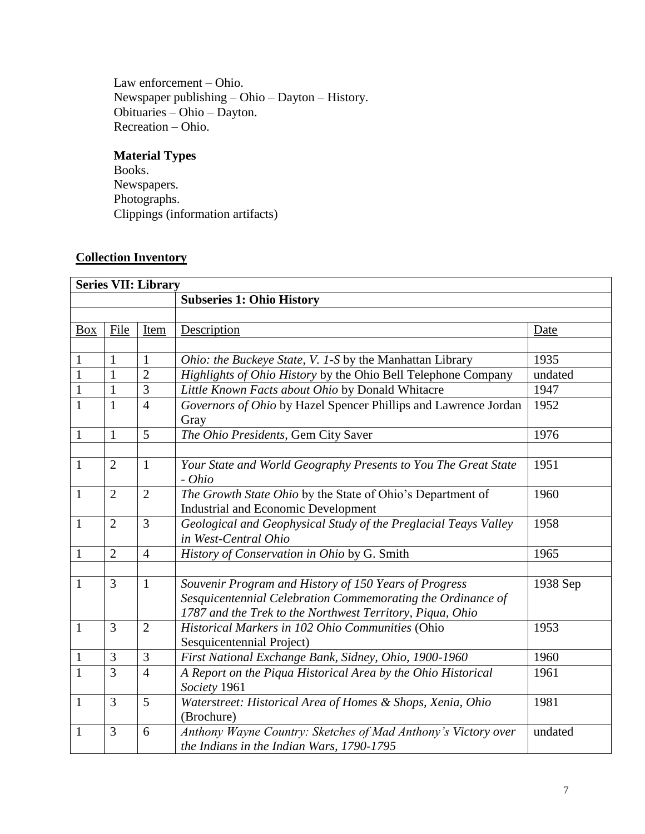Law enforcement – Ohio. Newspaper publishing – Ohio – Dayton – History. Obituaries – Ohio – Dayton. Recreation – Ohio.

# **Material Types**

Books. Newspapers. Photographs. Clippings (information artifacts)

# **Collection Inventory**

|              | <b>Series VII: Library</b> |                |                                                                                                                                                                                   |          |  |  |  |
|--------------|----------------------------|----------------|-----------------------------------------------------------------------------------------------------------------------------------------------------------------------------------|----------|--|--|--|
|              |                            |                | <b>Subseries 1: Ohio History</b>                                                                                                                                                  |          |  |  |  |
|              |                            |                |                                                                                                                                                                                   |          |  |  |  |
| <b>Box</b>   | File                       | Item           | Description                                                                                                                                                                       | Date     |  |  |  |
|              |                            |                |                                                                                                                                                                                   |          |  |  |  |
| 1            | 1                          | 1              | Ohio: the Buckeye State, V. 1-S by the Manhattan Library                                                                                                                          | 1935     |  |  |  |
| $\mathbf{1}$ | $\mathbf{1}$               | $\overline{2}$ | Highlights of Ohio History by the Ohio Bell Telephone Company                                                                                                                     | undated  |  |  |  |
| $\mathbf{1}$ | $\mathbf{1}$               | 3              | Little Known Facts about Ohio by Donald Whitacre                                                                                                                                  | 1947     |  |  |  |
| $\mathbf{1}$ | $\mathbf{1}$               | $\overline{4}$ | Governors of Ohio by Hazel Spencer Phillips and Lawrence Jordan<br>Gray                                                                                                           | 1952     |  |  |  |
| $\mathbf{1}$ | $\mathbf{1}$               | 5              | The Ohio Presidents, Gem City Saver                                                                                                                                               | 1976     |  |  |  |
|              |                            |                |                                                                                                                                                                                   |          |  |  |  |
| $\mathbf{1}$ | $\overline{2}$             | $\mathbf{1}$   | Your State and World Geography Presents to You The Great State<br>- Ohio                                                                                                          | 1951     |  |  |  |
| $\mathbf{1}$ | $\overline{2}$             | $\overline{2}$ | The Growth State Ohio by the State of Ohio's Department of<br><b>Industrial and Economic Development</b>                                                                          | 1960     |  |  |  |
| 1            | $\overline{2}$             | 3              | Geological and Geophysical Study of the Preglacial Teays Valley<br>in West-Central Ohio                                                                                           | 1958     |  |  |  |
| $\mathbf{1}$ | $\overline{2}$             | $\overline{4}$ | History of Conservation in Ohio by G. Smith                                                                                                                                       | 1965     |  |  |  |
|              |                            |                |                                                                                                                                                                                   |          |  |  |  |
| $\mathbf{1}$ | $\overline{3}$             | $\mathbf{1}$   | Souvenir Program and History of 150 Years of Progress<br>Sesquicentennial Celebration Commemorating the Ordinance of<br>1787 and the Trek to the Northwest Territory, Piqua, Ohio | 1938 Sep |  |  |  |
| $\mathbf{1}$ | 3                          | $\overline{2}$ | Historical Markers in 102 Ohio Communities (Ohio<br>Sesquicentennial Project)                                                                                                     | 1953     |  |  |  |
| $\mathbf{1}$ | 3                          | 3              | First National Exchange Bank, Sidney, Ohio, 1900-1960                                                                                                                             | 1960     |  |  |  |
| $\mathbf{1}$ | $\overline{3}$             | $\overline{4}$ | A Report on the Piqua Historical Area by the Ohio Historical<br>Society 1961                                                                                                      | 1961     |  |  |  |
| $\mathbf{1}$ | 3                          | 5              | Waterstreet: Historical Area of Homes & Shops, Xenia, Ohio<br>(Brochure)                                                                                                          | 1981     |  |  |  |
| $\mathbf{1}$ | 3                          | 6              | Anthony Wayne Country: Sketches of Mad Anthony's Victory over<br>the Indians in the Indian Wars, 1790-1795                                                                        | undated  |  |  |  |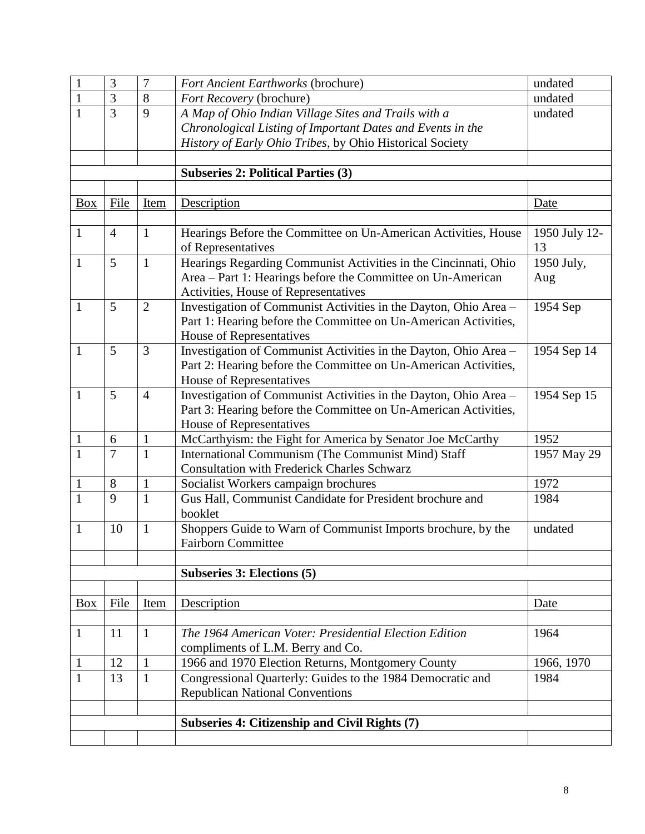| $\mathbf{1}$ | 3              | $\overline{7}$ | <b>Fort Ancient Earthworks (brochure)</b>                        | undated       |
|--------------|----------------|----------------|------------------------------------------------------------------|---------------|
| $\mathbf{1}$ | 3              | 8              | Fort Recovery (brochure)                                         | undated       |
| $\mathbf{1}$ | $\overline{3}$ | 9              | A Map of Ohio Indian Village Sites and Trails with a             | undated       |
|              |                |                | Chronological Listing of Important Dates and Events in the       |               |
|              |                |                | History of Early Ohio Tribes, by Ohio Historical Society         |               |
|              |                |                |                                                                  |               |
|              |                |                | <b>Subseries 2: Political Parties (3)</b>                        |               |
|              |                |                |                                                                  |               |
| <b>Box</b>   | File           | Item           | Description                                                      | Date          |
|              |                |                |                                                                  |               |
| 1            | $\overline{4}$ | $\mathbf{1}$   | Hearings Before the Committee on Un-American Activities, House   | 1950 July 12- |
|              |                |                | of Representatives                                               | 13            |
| $\mathbf{1}$ | 5              | $\mathbf{1}$   | Hearings Regarding Communist Activities in the Cincinnati, Ohio  | 1950 July,    |
|              |                |                | Area - Part 1: Hearings before the Committee on Un-American      | Aug           |
|              |                |                | Activities, House of Representatives                             |               |
| $\mathbf{1}$ | 5              | $\overline{2}$ | Investigation of Communist Activities in the Dayton, Ohio Area - | 1954 Sep      |
|              |                |                | Part 1: Hearing before the Committee on Un-American Activities,  |               |
|              |                |                | House of Representatives                                         |               |
| $\mathbf{1}$ | 5              | $\overline{3}$ | Investigation of Communist Activities in the Dayton, Ohio Area - | 1954 Sep 14   |
|              |                |                | Part 2: Hearing before the Committee on Un-American Activities,  |               |
|              |                |                | House of Representatives                                         |               |
| $\mathbf{1}$ | 5              | $\overline{4}$ | Investigation of Communist Activities in the Dayton, Ohio Area - | 1954 Sep 15   |
|              |                |                | Part 3: Hearing before the Committee on Un-American Activities,  |               |
|              |                |                | House of Representatives                                         |               |
| $\mathbf{1}$ | 6              | $\mathbf{1}$   | McCarthyism: the Fight for America by Senator Joe McCarthy       | 1952          |
| $\mathbf{1}$ | $\overline{7}$ | $\mathbf{1}$   | International Communism (The Communist Mind) Staff               | 1957 May 29   |
|              |                |                | <b>Consultation with Frederick Charles Schwarz</b>               |               |
| $\mathbf{1}$ | 8              | $\mathbf{1}$   | Socialist Workers campaign brochures                             | 1972          |
| $\mathbf{1}$ | 9              | $\mathbf{1}$   | Gus Hall, Communist Candidate for President brochure and         | 1984          |
|              |                |                | booklet                                                          |               |
| $\mathbf{1}$ | 10             | $\mathbf{1}$   | Shoppers Guide to Warn of Communist Imports brochure, by the     | undated       |
|              |                |                | <b>Fairborn Committee</b>                                        |               |
|              |                |                |                                                                  |               |
|              |                |                | <b>Subseries 3: Elections (5)</b>                                |               |
|              |                |                |                                                                  |               |
| <b>Box</b>   | File           | Item           | Description                                                      | Date          |
|              |                |                |                                                                  |               |
| $\mathbf{1}$ | 11             | $\mathbf{1}$   | The 1964 American Voter: Presidential Election Edition           | 1964          |
|              |                |                | compliments of L.M. Berry and Co.                                |               |
|              | 12             | 1              | 1966 and 1970 Election Returns, Montgomery County                | 1966, 1970    |
| $\mathbf{1}$ | 13             | $\mathbf{1}$   | Congressional Quarterly: Guides to the 1984 Democratic and       | 1984          |
|              |                |                | <b>Republican National Conventions</b>                           |               |
|              |                |                |                                                                  |               |
|              |                |                | Subseries 4: Citizenship and Civil Rights (7)                    |               |
|              |                |                |                                                                  |               |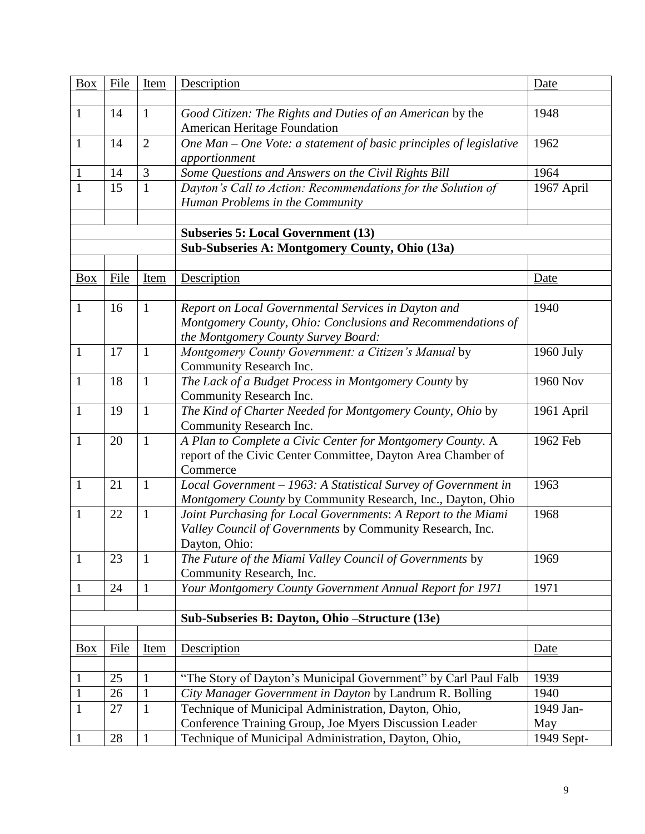| <b>Box</b>   | File | Item           | Description                                                                                                                                               | Date       |
|--------------|------|----------------|-----------------------------------------------------------------------------------------------------------------------------------------------------------|------------|
|              |      |                |                                                                                                                                                           |            |
| $\mathbf{1}$ | 14   | $\mathbf{1}$   | Good Citizen: The Rights and Duties of an American by the<br><b>American Heritage Foundation</b>                                                          | 1948       |
| $\mathbf{1}$ | 14   | $\overline{2}$ | One Man - One Vote: a statement of basic principles of legislative<br>apportionment                                                                       | 1962       |
| $\mathbf{1}$ | 14   | 3              | Some Questions and Answers on the Civil Rights Bill                                                                                                       | 1964       |
| $\mathbf{1}$ | 15   | $\mathbf{1}$   | Dayton's Call to Action: Recommendations for the Solution of<br>Human Problems in the Community                                                           | 1967 April |
|              |      |                |                                                                                                                                                           |            |
|              |      |                | <b>Subseries 5: Local Government (13)</b>                                                                                                                 |            |
|              |      |                | Sub-Subseries A: Montgomery County, Ohio (13a)                                                                                                            |            |
| Box          | File | Item           | Description                                                                                                                                               | Date       |
| $\mathbf{1}$ | 16   | $\mathbf{1}$   | Report on Local Governmental Services in Dayton and<br>Montgomery County, Ohio: Conclusions and Recommendations of<br>the Montgomery County Survey Board: | 1940       |
| $\mathbf{1}$ | 17   | $\mathbf{1}$   | Montgomery County Government: a Citizen's Manual by<br>Community Research Inc.                                                                            | 1960 July  |
| $\mathbf{1}$ | 18   | $\mathbf{1}$   | The Lack of a Budget Process in Montgomery County by<br>Community Research Inc.                                                                           | 1960 Nov   |
| 1            | 19   | $\mathbf{1}$   | The Kind of Charter Needed for Montgomery County, Ohio by<br>Community Research Inc.                                                                      | 1961 April |
| $\mathbf{1}$ | 20   | $\mathbf{1}$   | A Plan to Complete a Civic Center for Montgomery County. A<br>report of the Civic Center Committee, Dayton Area Chamber of<br>Commerce                    | 1962 Feb   |
| $\mathbf{1}$ | 21   | $\mathbf{1}$   | Local Government - 1963: A Statistical Survey of Government in<br>Montgomery County by Community Research, Inc., Dayton, Ohio                             | 1963       |
| 1            | 22   | $\mathbf{1}$   | Joint Purchasing for Local Governments: A Report to the Miami<br>Valley Council of Governments by Community Research, Inc.<br>Dayton, Ohio:               | 1968       |
| $\mathbf{1}$ | 23   | $\mathbf{1}$   | The Future of the Miami Valley Council of Governments by<br>Community Research, Inc.                                                                      | 1969       |
| $\mathbf{1}$ | 24   | $\mathbf{1}$   | Your Montgomery County Government Annual Report for 1971                                                                                                  | 1971       |
|              |      |                |                                                                                                                                                           |            |
|              |      |                | Sub-Subseries B: Dayton, Ohio – Structure (13e)                                                                                                           |            |
|              |      |                |                                                                                                                                                           |            |
| <b>Box</b>   | File | <u>Item</u>    | Description                                                                                                                                               | Date       |
| 1            | 25   | $\mathbf{1}$   | "The Story of Dayton's Municipal Government" by Carl Paul Falb                                                                                            | 1939       |
| $\mathbf{1}$ | 26   | $\mathbf{1}$   | City Manager Government in Dayton by Landrum R. Bolling                                                                                                   | 1940       |
| $\mathbf{1}$ | 27   | $\mathbf{1}$   | Technique of Municipal Administration, Dayton, Ohio,                                                                                                      | 1949 Jan-  |
|              |      |                | Conference Training Group, Joe Myers Discussion Leader                                                                                                    | May        |
| $\mathbf{1}$ | 28   | $\mathbf{1}$   | Technique of Municipal Administration, Dayton, Ohio,                                                                                                      | 1949 Sept- |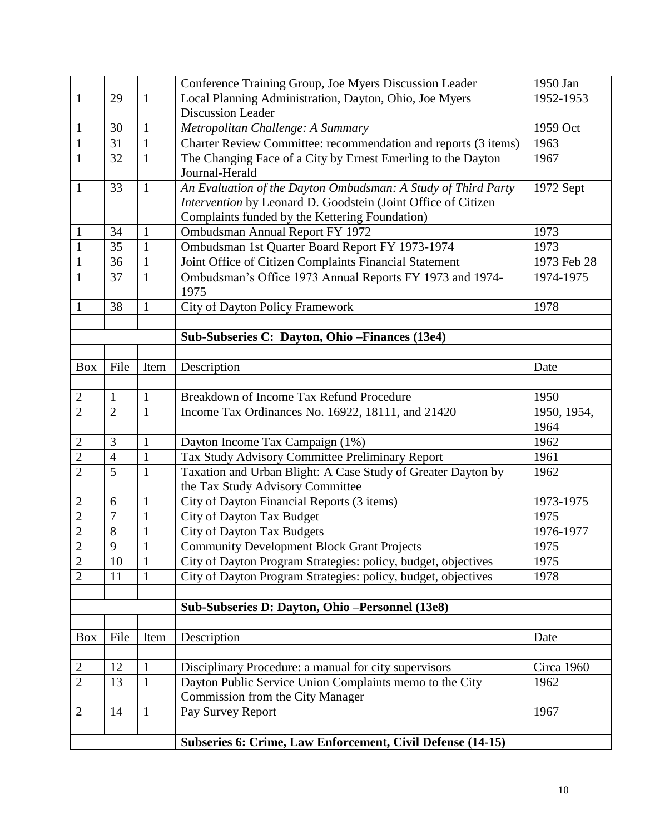|                |                |                              | Conference Training Group, Joe Myers Discussion Leader         | 1950 Jan    |
|----------------|----------------|------------------------------|----------------------------------------------------------------|-------------|
| $\mathbf{1}$   | 29             | $\mathbf{1}$                 | Local Planning Administration, Dayton, Ohio, Joe Myers         | 1952-1953   |
|                |                |                              | <b>Discussion Leader</b>                                       |             |
| $\mathbf{1}$   | 30             | $\mathbf{1}$                 | Metropolitan Challenge: A Summary                              | 1959 Oct    |
| $\mathbf{1}$   | 31             | $\mathbf{1}$                 | Charter Review Committee: recommendation and reports (3 items) | 1963        |
| $\mathbf{1}$   | 32             | $\mathbf{1}$                 | The Changing Face of a City by Ernest Emerling to the Dayton   | 1967        |
|                |                |                              | Journal-Herald                                                 |             |
| $\mathbf{1}$   | 33             | $\mathbf{1}$                 | An Evaluation of the Dayton Ombudsman: A Study of Third Party  | 1972 Sept   |
|                |                |                              | Intervention by Leonard D. Goodstein (Joint Office of Citizen  |             |
|                |                |                              | Complaints funded by the Kettering Foundation)                 |             |
| $\mathbf{1}$   | 34             | $\mathbf{1}$                 | Ombudsman Annual Report FY 1972                                | 1973        |
| $\mathbf{1}$   | 35             | $\mathbf{1}$                 | Ombudsman 1st Quarter Board Report FY 1973-1974                | 1973        |
| $\mathbf{1}$   | 36             | $\mathbf{1}$                 | Joint Office of Citizen Complaints Financial Statement         | 1973 Feb 28 |
| $\mathbf{1}$   | 37             | $\mathbf{1}$                 | Ombudsman's Office 1973 Annual Reports FY 1973 and 1974-       | 1974-1975   |
|                |                |                              | 1975                                                           |             |
| 1              | 38             | $\mathbf{1}$                 | City of Dayton Policy Framework                                | 1978        |
|                |                |                              |                                                                |             |
|                |                |                              | Sub-Subseries C: Dayton, Ohio – Finances (13e4)                |             |
|                |                |                              |                                                                |             |
| Box            | File           | Item                         | Description                                                    | Date        |
|                |                |                              |                                                                |             |
| $\mathbf{2}$   | $\mathbf{1}$   | $\mathbf{1}$                 | Breakdown of Income Tax Refund Procedure                       | 1950        |
| $\overline{2}$ | $\overline{2}$ | $\mathbf{1}$                 | Income Tax Ordinances No. 16922, 18111, and 21420              | 1950, 1954, |
|                |                |                              |                                                                | 1964        |
| $\overline{2}$ | 3              | $\mathbf{1}$                 | Dayton Income Tax Campaign (1%)                                | 1962        |
| $\overline{2}$ | $\overline{4}$ | $\mathbf{1}$                 | Tax Study Advisory Committee Preliminary Report                | 1961        |
| $\overline{2}$ | 5              | $\mathbf{1}$                 | Taxation and Urban Blight: A Case Study of Greater Dayton by   | 1962        |
|                |                |                              | the Tax Study Advisory Committee                               |             |
| $\overline{2}$ | 6              | $\mathbf{1}$                 | City of Dayton Financial Reports (3 items)                     | 1973-1975   |
| $\overline{c}$ | $\overline{7}$ | $\mathbf{1}$                 | City of Dayton Tax Budget                                      | 1975        |
| $\overline{2}$ | 8              | $\mathbf{1}$                 | <b>City of Dayton Tax Budgets</b>                              | 1976-1977   |
| $\overline{2}$ | 9              | $\mathbf{1}$<br>$\mathbf{r}$ | <b>Community Development Block Grant Projects</b>              | 1975        |
| $\overline{2}$ | 10             | $\mathbf{1}$                 | City of Dayton Program Strategies: policy, budget, objectives  | 1975        |
| $\overline{2}$ | 11             | 1                            | City of Dayton Program Strategies: policy, budget, objectives  | 1978        |
|                |                |                              |                                                                |             |
|                |                |                              | Sub-Subseries D: Dayton, Ohio -Personnel (13e8)                |             |
|                |                |                              |                                                                |             |
| $\frac{Box}{}$ | File           | <u>Item</u>                  | Description                                                    | Date        |
|                |                |                              |                                                                |             |
| $\overline{2}$ | 12             | $\mathbf{1}$                 | Disciplinary Procedure: a manual for city supervisors          | Circa 1960  |
| $\overline{2}$ | 13             | $\mathbf{1}$                 | Dayton Public Service Union Complaints memo to the City        | 1962        |
|                |                |                              | Commission from the City Manager                               |             |
| 2              | 14             | $\mathbf{1}$                 | Pay Survey Report                                              | 1967        |
|                |                |                              |                                                                |             |
|                |                |                              | Subseries 6: Crime, Law Enforcement, Civil Defense (14-15)     |             |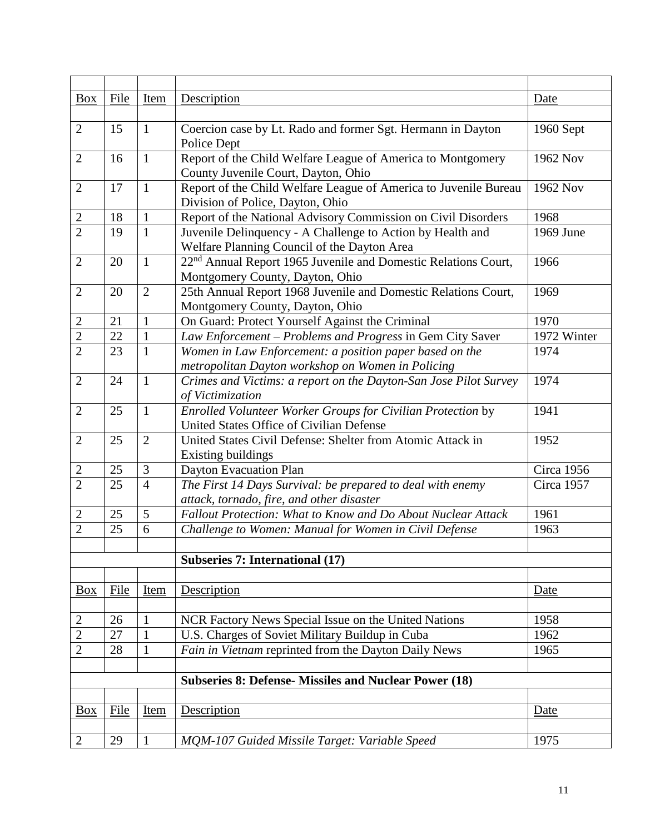| <b>Box</b>     | File | Item           | Description                                                                                       | Date        |
|----------------|------|----------------|---------------------------------------------------------------------------------------------------|-------------|
|                |      |                |                                                                                                   |             |
| $\overline{2}$ | 15   | $\mathbf{1}$   | Coercion case by Lt. Rado and former Sgt. Hermann in Dayton                                       | 1960 Sept   |
|                |      |                | Police Dept                                                                                       |             |
| $\overline{2}$ | 16   | $\mathbf{1}$   | Report of the Child Welfare League of America to Montgomery                                       | 1962 Nov    |
|                |      |                | County Juvenile Court, Dayton, Ohio                                                               |             |
| $\overline{2}$ | 17   | $\mathbf{1}$   | Report of the Child Welfare League of America to Juvenile Bureau                                  | 1962 Nov    |
|                |      |                | Division of Police, Dayton, Ohio                                                                  |             |
| $\overline{2}$ | 18   | $\mathbf{1}$   | Report of the National Advisory Commission on Civil Disorders                                     | 1968        |
| $\overline{2}$ | 19   | $\mathbf{1}$   | Juvenile Delinquency - A Challenge to Action by Health and                                        | 1969 June   |
|                |      |                | Welfare Planning Council of the Dayton Area                                                       |             |
| $\overline{2}$ | 20   | $\mathbf{1}$   | 22 <sup>nd</sup> Annual Report 1965 Juvenile and Domestic Relations Court,                        | 1966        |
| $\overline{2}$ | 20   | $\overline{2}$ | Montgomery County, Dayton, Ohio<br>25th Annual Report 1968 Juvenile and Domestic Relations Court, | 1969        |
|                |      |                | Montgomery County, Dayton, Ohio                                                                   |             |
| $\mathbf{2}$   | 21   | $\mathbf{1}$   | On Guard: Protect Yourself Against the Criminal                                                   | 1970        |
| $\overline{c}$ | 22   | $\mathbf{1}$   | Law Enforcement – Problems and Progress in Gem City Saver                                         | 1972 Winter |
| $\overline{2}$ | 23   | $\mathbf{1}$   | Women in Law Enforcement: a position paper based on the                                           | 1974        |
|                |      |                | metropolitan Dayton workshop on Women in Policing                                                 |             |
| $\overline{2}$ | 24   | $\mathbf{1}$   | Crimes and Victims: a report on the Dayton-San Jose Pilot Survey                                  | 1974        |
|                |      |                | of Victimization                                                                                  |             |
| $\overline{2}$ | 25   | $\mathbf{1}$   | Enrolled Volunteer Worker Groups for Civilian Protection by                                       | 1941        |
|                |      |                | United States Office of Civilian Defense                                                          |             |
| $\overline{2}$ | 25   | $\overline{2}$ | United States Civil Defense: Shelter from Atomic Attack in                                        | 1952        |
|                |      |                | <b>Existing buildings</b>                                                                         |             |
| $\overline{2}$ | 25   | 3              | Dayton Evacuation Plan                                                                            | Circa 1956  |
| $\overline{2}$ | 25   | $\overline{4}$ | The First 14 Days Survival: be prepared to deal with enemy                                        | Circa 1957  |
|                |      |                | attack, tornado, fire, and other disaster                                                         |             |
| 2              | 25   | 5              | Fallout Protection: What to Know and Do About Nuclear Attack                                      | 1961        |
| $\overline{2}$ | 25   | 6              | Challenge to Women: Manual for Women in Civil Defense                                             | 1963        |
|                |      |                |                                                                                                   |             |
|                |      |                | <b>Subseries 7: International (17)</b>                                                            |             |
|                |      |                |                                                                                                   |             |
| Box            | File | Item           | Description                                                                                       | Date        |
|                |      |                |                                                                                                   | 1958        |
| $\mathbf{2}$   | 26   | $\mathbf{1}$   | NCR Factory News Special Issue on the United Nations                                              |             |
| $\overline{2}$ | 27   | $\mathbf{1}$   | U.S. Charges of Soviet Military Buildup in Cuba                                                   | 1962        |
| $\overline{2}$ | 28   | $\mathbf{1}$   | Fain in Vietnam reprinted from the Dayton Daily News                                              | 1965        |
|                |      |                | <b>Subseries 8: Defense- Missiles and Nuclear Power (18)</b>                                      |             |
|                |      |                |                                                                                                   |             |
| <b>Box</b>     | File | Item           | Description                                                                                       | Date        |
|                |      |                |                                                                                                   |             |
| $\overline{2}$ | 29   | $\mathbf{1}$   | MQM-107 Guided Missile Target: Variable Speed                                                     | 1975        |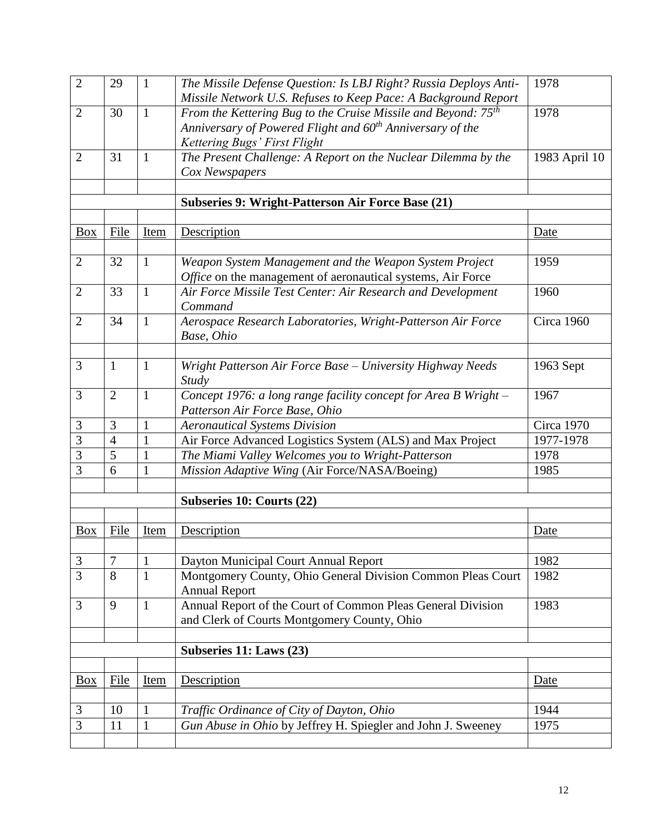| $\overline{2}$                  | 29             | $\mathbf{1}$ | The Missile Defense Question: Is LBJ Right? Russia Deploys Anti-                                           | 1978              |
|---------------------------------|----------------|--------------|------------------------------------------------------------------------------------------------------------|-------------------|
|                                 |                |              | Missile Network U.S. Refuses to Keep Pace: A Background Report                                             |                   |
| $\overline{2}$                  | 30             | $\mathbf{1}$ | From the Kettering Bug to the Cruise Missile and Beyond: 75 <sup>th</sup>                                  | 1978              |
|                                 |                |              | Anniversary of Powered Flight and 60 <sup>th</sup> Anniversary of the                                      |                   |
|                                 |                |              | Kettering Bugs' First Flight                                                                               |                   |
| $\overline{2}$                  | 31             | $\mathbf{1}$ | The Present Challenge: A Report on the Nuclear Dilemma by the                                              | 1983 April 10     |
|                                 |                |              | Cox Newspapers                                                                                             |                   |
|                                 |                |              |                                                                                                            |                   |
|                                 |                |              | Subseries 9: Wright-Patterson Air Force Base (21)                                                          |                   |
|                                 |                |              |                                                                                                            |                   |
| <b>Box</b>                      | File           | Item         | Description                                                                                                | Date              |
|                                 |                |              |                                                                                                            |                   |
| $\overline{2}$                  | 32             | $\mathbf{1}$ | Weapon System Management and the Weapon System Project                                                     | 1959              |
|                                 |                |              | Office on the management of aeronautical systems, Air Force                                                |                   |
| $\overline{2}$                  | 33             | $\mathbf{1}$ | Air Force Missile Test Center: Air Research and Development<br>Command                                     | 1960              |
| $\overline{2}$                  | 34             | $\mathbf{1}$ | Aerospace Research Laboratories, Wright-Patterson Air Force                                                | <b>Circa 1960</b> |
|                                 |                |              | Base, Ohio                                                                                                 |                   |
|                                 |                |              |                                                                                                            |                   |
| 3                               | $\mathbf{1}$   | $\mathbf{1}$ | Wright Patterson Air Force Base - University Highway Needs                                                 | 1963 Sept         |
|                                 |                |              | Study                                                                                                      |                   |
| 3                               | $\overline{2}$ | $\mathbf{1}$ | Concept 1976: a long range facility concept for Area B Wright -                                            | 1967              |
|                                 |                |              | Patterson Air Force Base, Ohio                                                                             |                   |
| 3                               | 3              | $\mathbf{1}$ | <b>Aeronautical Systems Division</b>                                                                       | $Circa$ 1970      |
| 3                               | $\overline{4}$ | $\mathbf{1}$ | Air Force Advanced Logistics System (ALS) and Max Project                                                  | 1977-1978         |
| 3                               | 5              | $\mathbf{1}$ | The Miami Valley Welcomes you to Wright-Patterson                                                          | 1978              |
| 3                               | 6              | $\mathbf{1}$ | Mission Adaptive Wing (Air Force/NASA/Boeing)                                                              | 1985              |
|                                 |                |              |                                                                                                            |                   |
|                                 |                |              | <b>Subseries 10: Courts (22)</b>                                                                           |                   |
|                                 |                |              |                                                                                                            |                   |
| <b>Box</b>                      | File           | Item         | Description                                                                                                | Date              |
|                                 |                |              |                                                                                                            |                   |
| 3                               | $\overline{7}$ | 1            | Dayton Municipal Court Annual Report                                                                       | 1982              |
| $\overline{3}$                  | 8              | $\mathbf{1}$ | Montgomery County, Ohio General Division Common Pleas Court                                                | 1982              |
| 3                               | 9              | $\mathbf{1}$ | <b>Annual Report</b>                                                                                       | 1983              |
|                                 |                |              | Annual Report of the Court of Common Pleas General Division<br>and Clerk of Courts Montgomery County, Ohio |                   |
|                                 |                |              |                                                                                                            |                   |
|                                 |                |              | Subseries 11: Laws (23)                                                                                    |                   |
|                                 |                |              |                                                                                                            |                   |
| $\frac{\text{Box}}{\text{Box}}$ | File           | <b>Item</b>  | Description                                                                                                | Date              |
|                                 |                |              |                                                                                                            |                   |
| 3                               | 10             | $\mathbf{1}$ | Traffic Ordinance of City of Dayton, Ohio                                                                  | 1944              |
| $\overline{3}$                  | 11             | $\mathbf{1}$ | Gun Abuse in Ohio by Jeffrey H. Spiegler and John J. Sweeney                                               | 1975              |
|                                 |                |              |                                                                                                            |                   |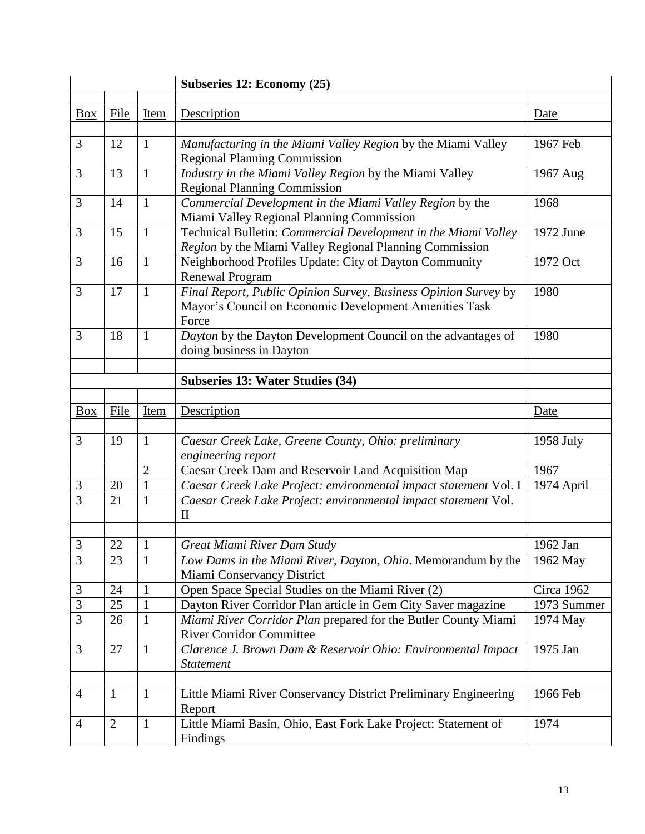|                |                |                | Subseries 12: Economy (25)                                                                                              |             |
|----------------|----------------|----------------|-------------------------------------------------------------------------------------------------------------------------|-------------|
|                |                |                |                                                                                                                         |             |
| <b>Box</b>     | File           | Item           | Description                                                                                                             | Date        |
|                |                |                |                                                                                                                         |             |
| 3              | 12             | $\mathbf{1}$   | Manufacturing in the Miami Valley Region by the Miami Valley                                                            | 1967 Feb    |
|                |                |                | <b>Regional Planning Commission</b>                                                                                     |             |
| 3              | 13             | $\mathbf{1}$   | Industry in the Miami Valley Region by the Miami Valley                                                                 | 1967 Aug    |
|                |                |                | <b>Regional Planning Commission</b>                                                                                     |             |
| 3              | 14             | $\mathbf{1}$   | Commercial Development in the Miami Valley Region by the                                                                | 1968        |
|                |                |                | Miami Valley Regional Planning Commission                                                                               |             |
| 3              | 15             | $\mathbf{1}$   | Technical Bulletin: Commercial Development in the Miami Valley                                                          | 1972 June   |
|                |                |                | Region by the Miami Valley Regional Planning Commission                                                                 |             |
| 3              | 16             | $\mathbf{1}$   | Neighborhood Profiles Update: City of Dayton Community                                                                  | 1972 Oct    |
|                |                |                | <b>Renewal Program</b>                                                                                                  |             |
| 3              | 17             | $\mathbf{1}$   | Final Report, Public Opinion Survey, Business Opinion Survey by                                                         | 1980        |
|                |                |                | Mayor's Council on Economic Development Amenities Task                                                                  |             |
|                |                |                | Force                                                                                                                   |             |
| 3              | 18             | 1              | Dayton by the Dayton Development Council on the advantages of                                                           | 1980        |
|                |                |                | doing business in Dayton                                                                                                |             |
|                |                |                |                                                                                                                         |             |
|                |                |                | <b>Subseries 13: Water Studies (34)</b>                                                                                 |             |
|                |                |                |                                                                                                                         |             |
| <b>Box</b>     | File           | Item           | Description                                                                                                             | Date        |
| 3              |                |                |                                                                                                                         |             |
|                | 19             | $\mathbf{1}$   | Caesar Creek Lake, Greene County, Ohio: preliminary                                                                     | 1958 July   |
|                |                | $\overline{2}$ | engineering report                                                                                                      | 1967        |
| $\mathfrak{Z}$ | 20             | $\mathbf{1}$   | Caesar Creek Dam and Reservoir Land Acquisition Map<br>Caesar Creek Lake Project: environmental impact statement Vol. I | 1974 April  |
| $\overline{3}$ | 21             | $\mathbf{1}$   | Caesar Creek Lake Project: environmental impact statement Vol.                                                          |             |
|                |                |                | $\mathbf{I}$                                                                                                            |             |
|                |                |                |                                                                                                                         |             |
| 3              | 22             | 1              | Great Miami River Dam Study                                                                                             | 1962 Jan    |
| 3              | 23             | $\mathbf{1}$   | Low Dams in the Miami River, Dayton, Ohio. Memorandum by the                                                            | 1962 May    |
|                |                |                | Miami Conservancy District                                                                                              |             |
| 3              | 24             | $\mathbf{1}$   | Open Space Special Studies on the Miami River (2)                                                                       | Circa 1962  |
| $\overline{3}$ | 25             | $\mathbf{1}$   | Dayton River Corridor Plan article in Gem City Saver magazine                                                           | 1973 Summer |
| 3              | 26             | $\mathbf{1}$   | Miami River Corridor Plan prepared for the Butler County Miami                                                          | 1974 May    |
|                |                |                | <b>River Corridor Committee</b>                                                                                         |             |
| 3              | 27             | $\mathbf{1}$   | Clarence J. Brown Dam & Reservoir Ohio: Environmental Impact                                                            | 1975 Jan    |
|                |                |                | <b>Statement</b>                                                                                                        |             |
|                |                |                |                                                                                                                         |             |
| $\overline{4}$ | $\mathbf{1}$   | $\mathbf{1}$   | Little Miami River Conservancy District Preliminary Engineering                                                         | 1966 Feb    |
|                |                |                | Report                                                                                                                  |             |
| $\overline{4}$ | $\overline{2}$ | $\mathbf{1}$   | Little Miami Basin, Ohio, East Fork Lake Project: Statement of                                                          | 1974        |
|                |                |                | Findings                                                                                                                |             |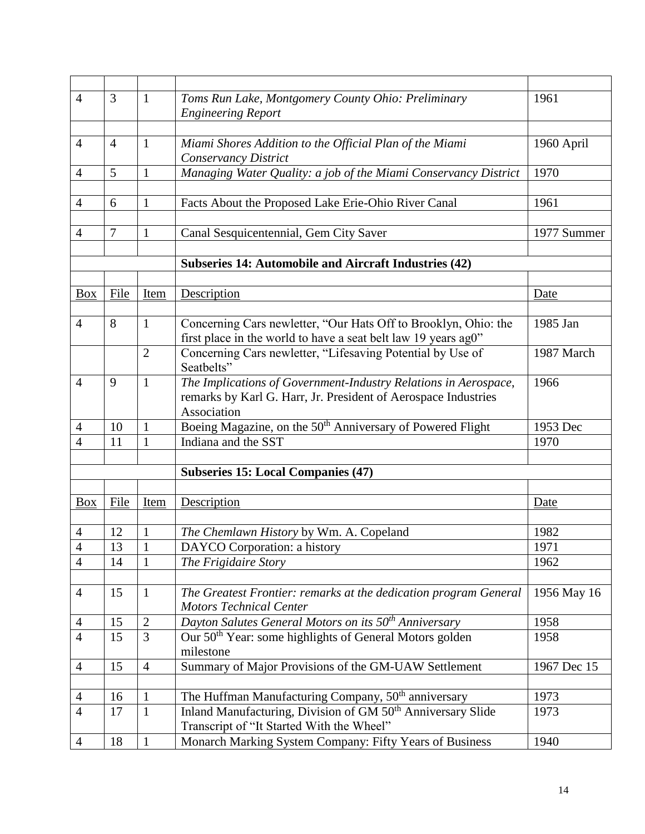| $\overline{4}$ | 3              | 1                            | Toms Run Lake, Montgomery County Ohio: Preliminary<br><b>Engineering Report</b>                                                                  | 1961                   |
|----------------|----------------|------------------------------|--------------------------------------------------------------------------------------------------------------------------------------------------|------------------------|
|                |                |                              |                                                                                                                                                  |                        |
| $\overline{4}$ | $\overline{4}$ | $\mathbf{1}$                 | Miami Shores Addition to the Official Plan of the Miami<br>Conservancy District                                                                  | 1960 April             |
| 4              | 5              | 1                            | Managing Water Quality: a job of the Miami Conservancy District                                                                                  | 1970                   |
|                |                |                              |                                                                                                                                                  |                        |
| 4              | 6              | $\mathbf{1}$                 | Facts About the Proposed Lake Erie-Ohio River Canal                                                                                              | 1961                   |
| 4              | $\tau$         | $\mathbf{1}$                 | Canal Sesquicentennial, Gem City Saver                                                                                                           | 1977 Summer            |
|                |                |                              |                                                                                                                                                  |                        |
|                |                |                              | Subseries 14: Automobile and Aircraft Industries (42)                                                                                            |                        |
|                | File           |                              |                                                                                                                                                  |                        |
| Box            |                | Item                         | Description                                                                                                                                      | Date                   |
| $\overline{4}$ | 8              | $\mathbf{1}$                 | Concerning Cars newletter, "Our Hats Off to Brooklyn, Ohio: the<br>first place in the world to have a seat belt law 19 years ag0"                | 1985 Jan               |
|                |                | $\overline{2}$               | Concerning Cars newletter, "Lifesaving Potential by Use of<br>Seatbelts"                                                                         | 1987 March             |
| $\overline{4}$ | 9              | $\mathbf{1}$                 | The Implications of Government-Industry Relations in Aerospace,<br>remarks by Karl G. Harr, Jr. President of Aerospace Industries<br>Association | 1966                   |
| 4              | 10             | 1                            | Boeing Magazine, on the 50 <sup>th</sup> Anniversary of Powered Flight                                                                           | $\overline{1}$ 953 Dec |
| 4              | 11             | $\mathbf{1}$                 | Indiana and the SST                                                                                                                              | 1970                   |
|                |                |                              |                                                                                                                                                  |                        |
|                |                |                              | <b>Subseries 15: Local Companies (47)</b>                                                                                                        |                        |
|                |                |                              |                                                                                                                                                  |                        |
| Box            | File           | Item                         | Description                                                                                                                                      | Date                   |
| 4              | 12             | 1                            | The Chemlawn History by Wm. A. Copeland                                                                                                          | 1982                   |
| $\Lambda$      | 13             | $\mathbf{1}$                 | DAYCO Corporation: a history                                                                                                                     | 1971                   |
| $\overline{4}$ | 14             | $\mathbf{r}$<br>$\mathbf{1}$ | The Frigidaire Story                                                                                                                             | 1962                   |
|                |                |                              |                                                                                                                                                  |                        |
| $\overline{4}$ | 15             | $\mathbf{1}$                 | The Greatest Frontier: remarks at the dedication program General<br><b>Motors Technical Center</b>                                               | 1956 May 16            |
| 4              | 15             | $\overline{2}$               | Dayton Salutes General Motors on its 50 <sup>th</sup> Anniversary                                                                                | 1958                   |
| $\overline{4}$ | 15             | 3                            | Our 50 <sup>th</sup> Year: some highlights of General Motors golden<br>milestone                                                                 | 1958                   |
| $\overline{4}$ | 15             | $\overline{4}$               | Summary of Major Provisions of the GM-UAW Settlement                                                                                             | 1967 Dec 15            |
|                |                |                              |                                                                                                                                                  |                        |
| $\overline{4}$ | 16             | $\mathbf{1}$                 | The Huffman Manufacturing Company, 50 <sup>th</sup> anniversary                                                                                  | 1973                   |
| $\overline{4}$ | 17             | $\mathbf{1}$                 | Inland Manufacturing, Division of GM 50 <sup>th</sup> Anniversary Slide<br>Transcript of "It Started With the Wheel"                             | 1973                   |
| $\overline{4}$ | 18             | $\mathbf{1}$                 | Monarch Marking System Company: Fifty Years of Business                                                                                          | 1940                   |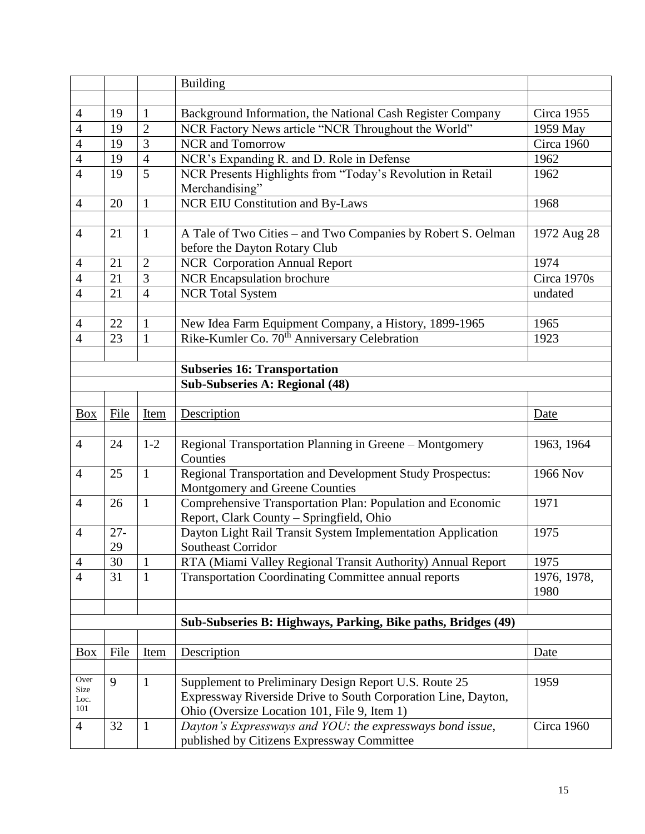|                |        |                | <b>Building</b>                                               |                   |
|----------------|--------|----------------|---------------------------------------------------------------|-------------------|
|                |        |                |                                                               |                   |
| $\overline{4}$ | 19     | 1              | Background Information, the National Cash Register Company    | <b>Circa 1955</b> |
| 4              | 19     | $\overline{2}$ | NCR Factory News article "NCR Throughout the World"           | 1959 May          |
| $\overline{4}$ | 19     | 3              | <b>NCR</b> and Tomorrow                                       | Circa 1960        |
| 4              | 19     | $\overline{4}$ | NCR's Expanding R. and D. Role in Defense                     | 1962              |
| $\overline{4}$ | 19     | 5              | NCR Presents Highlights from "Today's Revolution in Retail    | 1962              |
|                |        |                | Merchandising"                                                |                   |
| $\overline{4}$ | 20     | $\mathbf{1}$   | NCR EIU Constitution and By-Laws                              | 1968              |
|                |        |                |                                                               |                   |
| $\overline{4}$ | 21     | $\mathbf{1}$   | A Tale of Two Cities – and Two Companies by Robert S. Oelman  | 1972 Aug 28       |
|                |        |                | before the Dayton Rotary Club                                 |                   |
| $\overline{4}$ | 21     | $\overline{2}$ | <b>NCR</b> Corporation Annual Report                          | 1974              |
| $\overline{4}$ | 21     | 3              | <b>NCR Encapsulation brochure</b>                             | Circa 1970s       |
| $\overline{4}$ | 21     | $\overline{4}$ | <b>NCR</b> Total System                                       | undated           |
|                |        |                |                                                               |                   |
| 4              | 22     | 1              | New Idea Farm Equipment Company, a History, 1899-1965         | 1965              |
| 4              | 23     | $\mathbf{1}$   | Rike-Kumler Co. 70 <sup>th</sup> Anniversary Celebration      | 1923              |
|                |        |                |                                                               |                   |
|                |        |                | <b>Subseries 16: Transportation</b>                           |                   |
|                |        |                | <b>Sub-Subseries A: Regional (48)</b>                         |                   |
|                |        |                |                                                               |                   |
| Box            | File   | Item           | Description                                                   | Date              |
|                |        |                |                                                               |                   |
| $\overline{4}$ | 24     | $1 - 2$        | Regional Transportation Planning in Greene - Montgomery       | 1963, 1964        |
|                |        |                | Counties                                                      |                   |
| $\overline{4}$ | 25     | $\mathbf{1}$   | Regional Transportation and Development Study Prospectus:     | 1966 Nov          |
|                |        |                | Montgomery and Greene Counties                                |                   |
| $\overline{4}$ | 26     | $\mathbf{1}$   | Comprehensive Transportation Plan: Population and Economic    | 1971              |
|                |        |                | Report, Clark County - Springfield, Ohio                      |                   |
| $\overline{4}$ | $27 -$ |                | Dayton Light Rail Transit System Implementation Application   | 1975              |
|                | 29     |                | <b>Southeast Corridor</b>                                     |                   |
| $\overline{4}$ | 30     | 1              | RTA (Miami Valley Regional Transit Authority) Annual Report   | 1975              |
| $\overline{4}$ | 31     | 1              | <b>Transportation Coordinating Committee annual reports</b>   | 1976, 1978,       |
|                |        |                |                                                               | 1980              |
|                |        |                |                                                               |                   |
|                |        |                | Sub-Subseries B: Highways, Parking, Bike paths, Bridges (49)  |                   |
|                |        |                |                                                               |                   |
| Box            | File   | Item           | Description                                                   | <u>Date</u>       |
|                |        |                |                                                               |                   |
| Over<br>Size   | 9      | $\mathbf{1}$   | Supplement to Preliminary Design Report U.S. Route 25         | 1959              |
| Loc.           |        |                | Expressway Riverside Drive to South Corporation Line, Dayton, |                   |
| 101            |        |                | Ohio (Oversize Location 101, File 9, Item 1)                  |                   |
| $\overline{4}$ | 32     | $\mathbf{1}$   | Dayton's Expressways and YOU: the expressways bond issue,     | Circa 1960        |
|                |        |                | published by Citizens Expressway Committee                    |                   |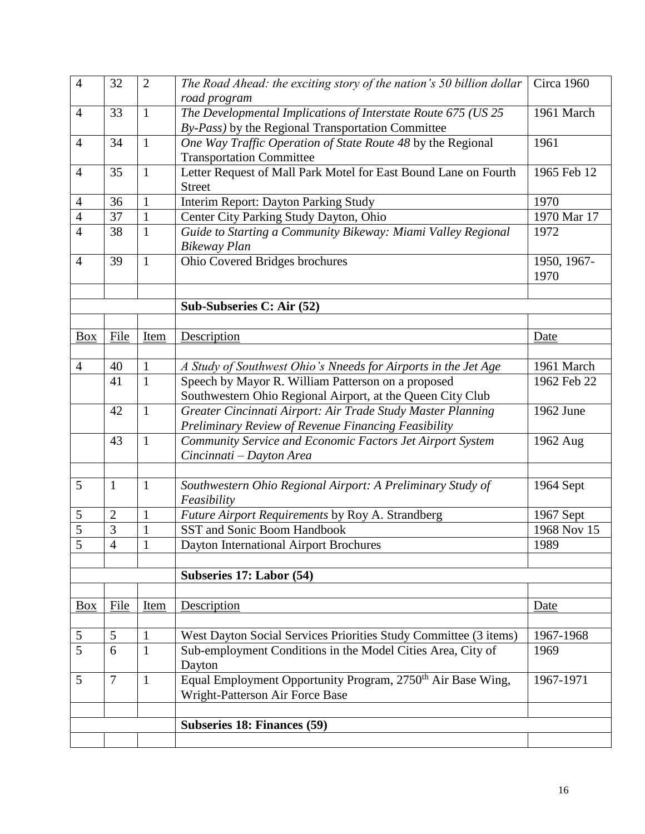| $\overline{4}$ | 32                  | $\overline{2}$    | The Road Ahead: the exciting story of the nation's 50 billion dollar                                               | Circa 1960  |
|----------------|---------------------|-------------------|--------------------------------------------------------------------------------------------------------------------|-------------|
|                |                     |                   | road program                                                                                                       |             |
| $\overline{4}$ | 33                  | $\mathbf{1}$      | The Developmental Implications of Interstate Route 675 (US 25<br>By-Pass) by the Regional Transportation Committee | 1961 March  |
| $\overline{4}$ | 34                  | $\mathbf{1}$      | One Way Traffic Operation of State Route 48 by the Regional                                                        | 1961        |
|                |                     |                   | <b>Transportation Committee</b>                                                                                    |             |
| $\overline{4}$ | 35                  | $\mathbf{1}$      | Letter Request of Mall Park Motel for East Bound Lane on Fourth                                                    | 1965 Feb 12 |
|                |                     |                   | <b>Street</b>                                                                                                      |             |
| 4              | 36                  | $\mathbf{1}$      | Interim Report: Dayton Parking Study                                                                               | 1970        |
| $\overline{4}$ | 37                  | $\mathbf{1}$      | Center City Parking Study Dayton, Ohio                                                                             | 1970 Mar 17 |
| $\overline{4}$ | 38                  | $\mathbf{1}$      | Guide to Starting a Community Bikeway: Miami Valley Regional                                                       | 1972        |
|                |                     |                   | <b>Bikeway Plan</b>                                                                                                |             |
| $\overline{4}$ | 39                  | $\mathbf{1}$      | Ohio Covered Bridges brochures                                                                                     | 1950, 1967- |
|                |                     |                   |                                                                                                                    | 1970        |
|                |                     |                   |                                                                                                                    |             |
|                |                     |                   | Sub-Subseries C: Air (52)                                                                                          |             |
| <b>Box</b>     | File                | Item              | Description                                                                                                        | Date        |
|                |                     |                   |                                                                                                                    |             |
| $\overline{4}$ | 40                  | $\mathbf{1}$      | A Study of Southwest Ohio's Nneeds for Airports in the Jet Age                                                     | 1961 March  |
|                | 41                  | $\mathbf{1}$      | Speech by Mayor R. William Patterson on a proposed                                                                 | 1962 Feb 22 |
|                |                     |                   | Southwestern Ohio Regional Airport, at the Queen City Club                                                         |             |
|                | 42                  | $\mathbf{1}$      | Greater Cincinnati Airport: Air Trade Study Master Planning                                                        | 1962 June   |
|                |                     |                   | Preliminary Review of Revenue Financing Feasibility                                                                |             |
|                | 43                  | $\mathbf{1}$      | Community Service and Economic Factors Jet Airport System                                                          | 1962 Aug    |
|                |                     |                   | Cincinnati – Dayton Area                                                                                           |             |
|                |                     |                   |                                                                                                                    |             |
| 5              | $\mathbf{1}$        | $\mathbf{1}$      | Southwestern Ohio Regional Airport: A Preliminary Study of<br>Feasibility                                          | 1964 Sept   |
| 5              | $\overline{2}$      | $\mathbf{1}$      | Future Airport Requirements by Roy A. Strandberg                                                                   | 1967 Sept   |
| 5              | 3                   | 1                 | SST and Sonic Boom Handbook                                                                                        | 1968 Nov 15 |
| $\overline{5}$ | $\overline{\Delta}$ | $\mathbf{1}$<br>T | Dayton International Airport Brochures                                                                             | 1989        |
|                |                     |                   |                                                                                                                    |             |
|                |                     |                   | Subseries 17: Labor (54)                                                                                           |             |
|                |                     |                   |                                                                                                                    |             |
| <b>Box</b>     | File                | Item              | Description                                                                                                        | Date        |
|                |                     |                   |                                                                                                                    |             |
| $\mathfrak s$  | 5                   | 1                 | West Dayton Social Services Priorities Study Committee (3 items)                                                   | 1967-1968   |
| $\overline{5}$ | 6                   | $\mathbf{1}$      | Sub-employment Conditions in the Model Cities Area, City of<br>Dayton                                              | 1969        |
| 5              | $\overline{7}$      | $\mathbf{1}$      | Equal Employment Opportunity Program, 2750 <sup>th</sup> Air Base Wing,                                            | 1967-1971   |
|                |                     |                   | Wright-Patterson Air Force Base                                                                                    |             |
|                |                     |                   |                                                                                                                    |             |
|                |                     |                   | <b>Subseries 18: Finances (59)</b>                                                                                 |             |
|                |                     |                   |                                                                                                                    |             |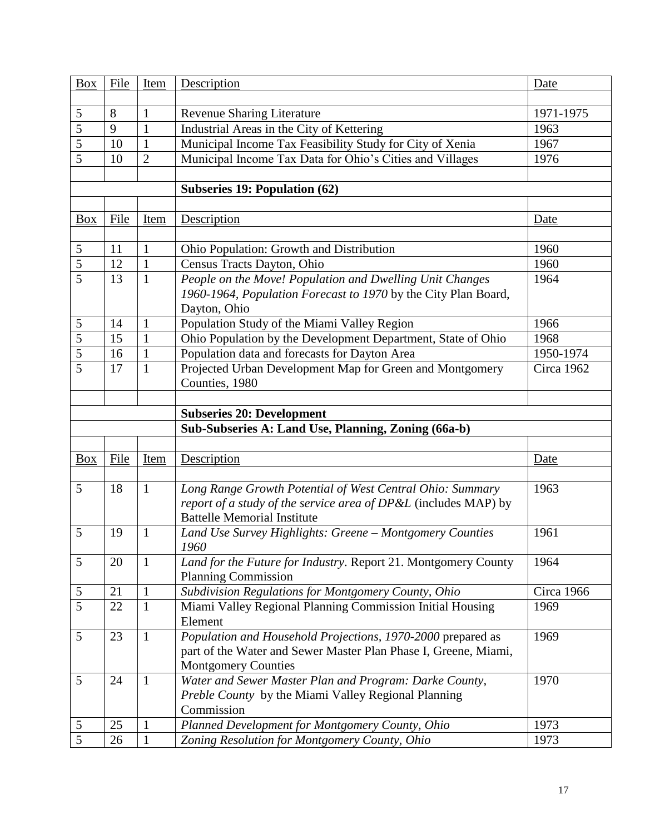| <b>Box</b>     | File | Item           | Description                                                                                   | Date       |
|----------------|------|----------------|-----------------------------------------------------------------------------------------------|------------|
|                |      |                |                                                                                               |            |
| 5              | 8    | 1              | <b>Revenue Sharing Literature</b>                                                             | 1971-1975  |
| $\overline{5}$ | 9    | $\mathbf{1}$   | Industrial Areas in the City of Kettering                                                     | 1963       |
| 5              | 10   | $\mathbf{1}$   | Municipal Income Tax Feasibility Study for City of Xenia                                      | 1967       |
| 5              | 10   | $\overline{2}$ | Municipal Income Tax Data for Ohio's Cities and Villages                                      | 1976       |
|                |      |                |                                                                                               |            |
|                |      |                | <b>Subseries 19: Population (62)</b>                                                          |            |
|                |      |                |                                                                                               |            |
| Box            | File | Item           | Description                                                                                   | Date       |
|                |      |                |                                                                                               |            |
| 5              | 11   | $\mathbf{1}$   | Ohio Population: Growth and Distribution                                                      | 1960       |
| 5              | 12   | $\mathbf{1}$   | Census Tracts Dayton, Ohio                                                                    | 1960       |
| 5              | 13   | $\mathbf{1}$   | People on the Move! Population and Dwelling Unit Changes                                      | 1964       |
|                |      |                | 1960-1964, Population Forecast to 1970 by the City Plan Board,                                |            |
|                |      |                | Dayton, Ohio                                                                                  |            |
| 5              | 14   | 1              | Population Study of the Miami Valley Region                                                   | 1966       |
| 5              | 15   | $\mathbf{1}$   | Ohio Population by the Development Department, State of Ohio                                  | 1968       |
| 5              | 16   | $\mathbf{1}$   | Population data and forecasts for Dayton Area                                                 | 1950-1974  |
| $\overline{5}$ | 17   | $\mathbf{1}$   | Projected Urban Development Map for Green and Montgomery                                      | Circa 1962 |
|                |      |                | Counties, 1980                                                                                |            |
|                |      |                |                                                                                               |            |
|                |      |                | <b>Subseries 20: Development</b>                                                              |            |
|                |      |                | Sub-Subseries A: Land Use, Planning, Zoning (66a-b)                                           |            |
|                |      |                |                                                                                               |            |
| Box            | File | Item           | Description                                                                                   | Date       |
|                |      |                |                                                                                               |            |
| 5              | 18   | $\mathbf{1}$   | Long Range Growth Potential of West Central Ohio: Summary                                     | 1963       |
|                |      |                | report of a study of the service area of DP&L (includes MAP) by                               |            |
|                |      |                | <b>Battelle Memorial Institute</b>                                                            |            |
| 5              | 19   | 1              |                                                                                               |            |
|                |      |                |                                                                                               | 1961       |
|                |      |                | Land Use Survey Highlights: Greene - Montgomery Counties<br>1960                              |            |
| 5              | 20   | $\mathbf{1}$   |                                                                                               | 1964       |
|                |      |                | Land for the Future for Industry. Report 21. Montgomery County<br><b>Planning Commission</b>  |            |
| 5              | 21   | $\mathbf{1}$   |                                                                                               | Circa 1966 |
| 5              | 22   | $\mathbf{1}$   | Subdivision Regulations for Montgomery County, Ohio                                           | 1969       |
|                |      |                | Miami Valley Regional Planning Commission Initial Housing<br>Element                          |            |
| 5              | 23   | $\mathbf{1}$   |                                                                                               | 1969       |
|                |      |                | Population and Household Projections, 1970-2000 prepared as                                   |            |
|                |      |                | part of the Water and Sewer Master Plan Phase I, Greene, Miami,<br><b>Montgomery Counties</b> |            |
| 5              | 24   | $\mathbf{1}$   | Water and Sewer Master Plan and Program: Darke County,                                        | 1970       |
|                |      |                | Preble County by the Miami Valley Regional Planning                                           |            |
|                |      |                | Commission                                                                                    |            |
| $\mathfrak s$  | 25   | $\mathbf{1}$   | Planned Development for Montgomery County, Ohio                                               | 1973       |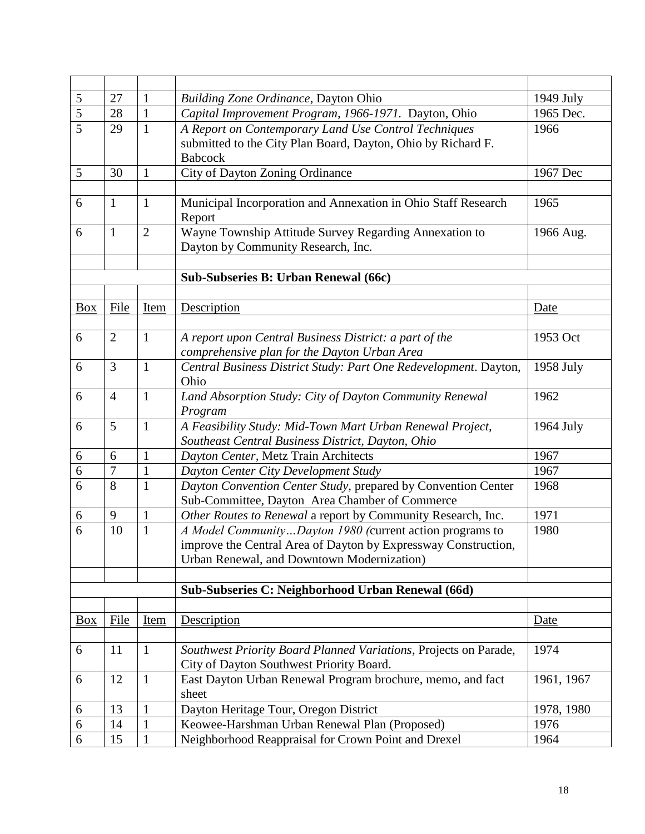| 5                | 27             | $\mathbf{1}$   | <b>Building Zone Ordinance, Dayton Ohio</b>                                                                                            | 1949 July  |
|------------------|----------------|----------------|----------------------------------------------------------------------------------------------------------------------------------------|------------|
| $\overline{5}$   | 28             | $\mathbf{1}$   | Capital Improvement Program, 1966-1971. Dayton, Ohio                                                                                   | 1965 Dec.  |
| $\overline{5}$   | 29             | $\mathbf{1}$   | A Report on Contemporary Land Use Control Techniques<br>submitted to the City Plan Board, Dayton, Ohio by Richard F.<br><b>Babcock</b> | 1966       |
| 5                | 30             | 1              | City of Dayton Zoning Ordinance                                                                                                        | 1967 Dec   |
|                  |                |                |                                                                                                                                        |            |
| 6                | $\mathbf{1}$   | $\mathbf{1}$   | Municipal Incorporation and Annexation in Ohio Staff Research<br>Report                                                                | 1965       |
| 6                | $\mathbf{1}$   | $\overline{2}$ | Wayne Township Attitude Survey Regarding Annexation to<br>Dayton by Community Research, Inc.                                           | 1966 Aug.  |
|                  |                |                | Sub-Subseries B: Urban Renewal (66c)                                                                                                   |            |
|                  |                |                |                                                                                                                                        |            |
| <b>Box</b>       | File           | Item           | Description                                                                                                                            | Date       |
|                  |                |                |                                                                                                                                        |            |
| 6                | $\overline{2}$ | $\mathbf{1}$   | A report upon Central Business District: a part of the                                                                                 | 1953 Oct   |
|                  |                |                | comprehensive plan for the Dayton Urban Area                                                                                           |            |
| 6                | $\overline{3}$ | $\mathbf{1}$   | Central Business District Study: Part One Redevelopment. Dayton,<br>Ohio                                                               | 1958 July  |
| 6                | $\overline{4}$ | $\mathbf{1}$   | Land Absorption Study: City of Dayton Community Renewal<br>Program                                                                     | 1962       |
| 6                | 5              | $\mathbf{1}$   | A Feasibility Study: Mid-Town Mart Urban Renewal Project,                                                                              | 1964 July  |
| 6                | 6              | $\mathbf{1}$   | Southeast Central Business District, Dayton, Ohio<br>Dayton Center, Metz Train Architects                                              | 1967       |
| 6                | $\overline{7}$ | $\mathbf{1}$   | Dayton Center City Development Study                                                                                                   | 1967       |
| 6                | 8              | $\mathbf{1}$   | Dayton Convention Center Study, prepared by Convention Center                                                                          | 1968       |
|                  |                |                | Sub-Committee, Dayton Area Chamber of Commerce                                                                                         |            |
| 6                | 9              | $\mathbf{1}$   | Other Routes to Renewal a report by Community Research, Inc.                                                                           | 1971       |
| 6                | 10             | $\mathbf{1}$   | A Model CommunityDayton 1980 (current action programs to                                                                               | 1980       |
|                  |                |                | improve the Central Area of Dayton by Expressway Construction,                                                                         |            |
|                  |                |                | Urban Renewal, and Downtown Modernization)                                                                                             |            |
|                  |                |                |                                                                                                                                        |            |
|                  |                |                | Sub-Subseries C: Neighborhood Urban Renewal (66d)                                                                                      |            |
| <b>Box</b>       | File           | Item           | Description                                                                                                                            |            |
|                  |                |                |                                                                                                                                        | Date       |
| 6                | 11             | $\mathbf{1}$   | Southwest Priority Board Planned Variations, Projects on Parade,                                                                       | 1974       |
|                  |                |                | City of Dayton Southwest Priority Board.                                                                                               |            |
| 6                | 12             | $\mathbf{1}$   | East Dayton Urban Renewal Program brochure, memo, and fact<br>sheet                                                                    | 1961, 1967 |
| 6                | 13             | 1              | Dayton Heritage Tour, Oregon District                                                                                                  | 1978, 1980 |
| $\boldsymbol{6}$ | 14             | $\mathbf{1}$   | Keowee-Harshman Urban Renewal Plan (Proposed)                                                                                          | 1976       |
| 6                | 15             | $\mathbf{1}$   | Neighborhood Reappraisal for Crown Point and Drexel                                                                                    | 1964       |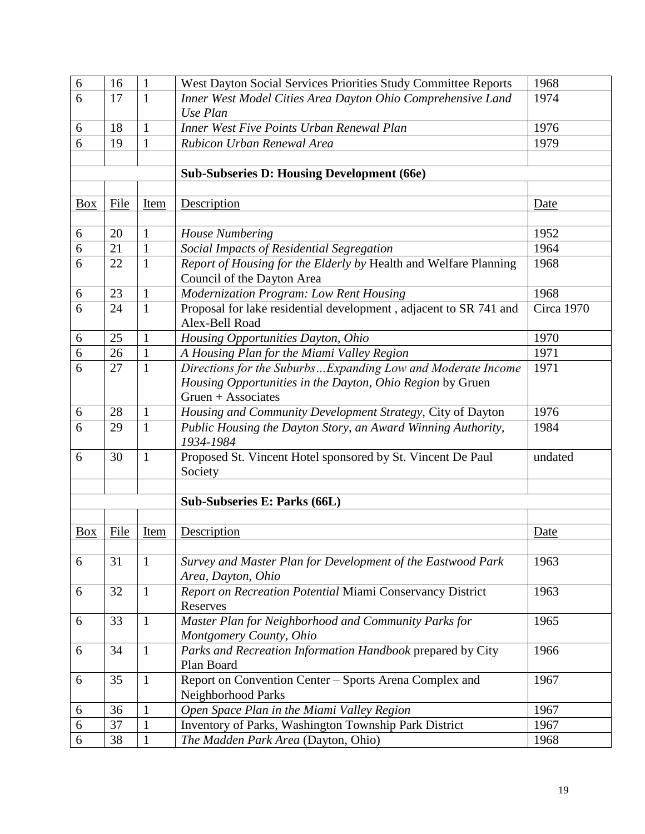| 6              | 16   | $\mathbf{1}$ | West Dayton Social Services Priorities Study Committee Reports                      | 1968        |
|----------------|------|--------------|-------------------------------------------------------------------------------------|-------------|
| 6              | 17   | $\mathbf{1}$ | Inner West Model Cities Area Dayton Ohio Comprehensive Land                         | 1974        |
|                |      |              | Use Plan                                                                            |             |
| 6              | 18   | $\mathbf{1}$ | Inner West Five Points Urban Renewal Plan                                           | 1976        |
| 6              | 19   | $\mathbf{1}$ | Rubicon Urban Renewal Area                                                          | 1979        |
|                |      |              |                                                                                     |             |
|                |      |              | <b>Sub-Subseries D: Housing Development (66e)</b>                                   |             |
|                |      |              |                                                                                     |             |
| <b>Box</b>     | File | <b>Item</b>  | Description                                                                         | Date        |
|                |      |              |                                                                                     |             |
| 6              | 20   | 1            | <b>House Numbering</b>                                                              | 1952        |
| 6              | 21   | $\mathbf{1}$ | Social Impacts of Residential Segregation                                           | 1964        |
| 6              | 22   | $\mathbf{1}$ | Report of Housing for the Elderly by Health and Welfare Planning                    | 1968        |
|                |      |              | Council of the Dayton Area                                                          |             |
| 6              | 23   | $\mathbf{1}$ | Modernization Program: Low Rent Housing                                             | 1968        |
| $\overline{6}$ | 24   | $\mathbf{1}$ | Proposal for lake residential development, adjacent to SR 741 and<br>Alex-Bell Road | Circa 1970  |
| 6              | 25   | $\mathbf{1}$ | Housing Opportunities Dayton, Ohio                                                  | 1970        |
| 6              | 26   | $\mathbf{1}$ | A Housing Plan for the Miami Valley Region                                          | 1971        |
| 6              | 27   | $\mathbf{1}$ | Directions for the SuburbsExpanding Low and Moderate Income                         | 1971        |
|                |      |              | Housing Opportunities in the Dayton, Ohio Region by Gruen                           |             |
|                |      |              | Gruen $+$ Associates                                                                |             |
| 6              | 28   | $\mathbf{1}$ | Housing and Community Development Strategy, City of Dayton                          | 1976        |
| 6              | 29   | $\mathbf{1}$ | Public Housing the Dayton Story, an Award Winning Authority,<br>1934-1984           | 1984        |
| 6              | 30   | $\mathbf{1}$ | Proposed St. Vincent Hotel sponsored by St. Vincent De Paul<br>Society              | undated     |
|                |      |              |                                                                                     |             |
|                |      |              | Sub-Subseries E: Parks (66L)                                                        |             |
|                |      |              |                                                                                     |             |
| $\frac{Box}{}$ | File | <b>Item</b>  | Description                                                                         | <u>Date</u> |
|                |      |              |                                                                                     |             |
| 6              | 31   | $\mathbf{1}$ | Survey and Master Plan for Development of the Eastwood Park<br>Area, Dayton, Ohio   | 1963        |
| 6              | 32   | $\mathbf{1}$ | Report on Recreation Potential Miami Conservancy District                           | 1963        |
|                |      |              | Reserves                                                                            |             |
| 6              | 33   | $\mathbf{1}$ | Master Plan for Neighborhood and Community Parks for                                | 1965        |
|                |      |              | Montgomery County, Ohio                                                             |             |
| 6              | 34   | $\mathbf{1}$ | Parks and Recreation Information Handbook prepared by City                          | 1966        |
|                |      |              | Plan Board                                                                          |             |
| 6              | 35   | $\mathbf{1}$ | Report on Convention Center - Sports Arena Complex and<br>Neighborhood Parks        | 1967        |
| 6              | 36   | 1            | Open Space Plan in the Miami Valley Region                                          | 1967        |
| 6              | 37   | $\mathbf 1$  | Inventory of Parks, Washington Township Park District                               | 1967        |
| 6              | 38   | 1            | The Madden Park Area (Dayton, Ohio)                                                 | 1968        |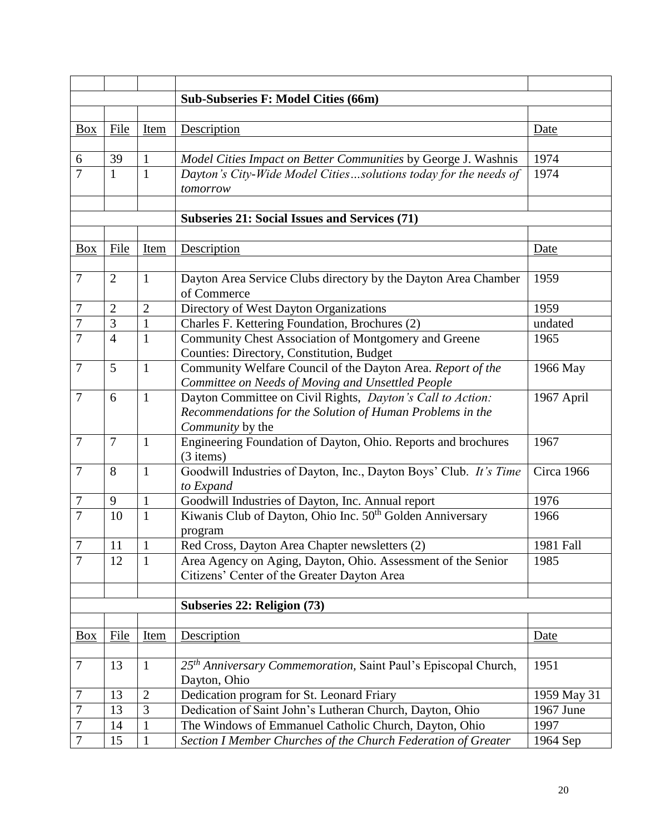| <b>Sub-Subseries F: Model Cities (66m)</b><br>File<br>Description<br><b>Box</b><br>Item<br>Date<br>39<br>6<br>Model Cities Impact on Better Communities by George J. Washnis<br>1974<br>1<br>$\overline{7}$<br>1974<br>$\mathbf{1}$<br>$\mathbf{1}$<br>Dayton's City-Wide Model Citiessolutions today for the needs of<br>tomorrow<br><b>Subseries 21: Social Issues and Services (71)</b><br>File<br>Description<br><b>Box</b><br>Item<br>Date<br>$\overline{7}$<br>2<br>$\mathbf{1}$<br>Dayton Area Service Clubs directory by the Dayton Area Chamber<br>1959<br>of Commerce<br>$\overline{2}$<br>Directory of West Dayton Organizations<br>7<br>$\overline{2}$<br>1959<br>3<br>Charles F. Kettering Foundation, Brochures (2)<br>7<br>1<br>undated<br>$\overline{7}$<br>$\overline{4}$<br>Community Chest Association of Montgomery and Greene<br>1965<br>$\mathbf{1}$<br>Counties: Directory, Constitution, Budget<br>$\overline{7}$<br>5<br>Community Welfare Council of the Dayton Area. Report of the<br>$\mathbf{1}$<br>1966 May<br>Committee on Needs of Moving and Unsettled People<br>$\tau$<br>6<br>Dayton Committee on Civil Rights, Dayton's Call to Action:<br>1967 April<br>$\mathbf{1}$<br>Recommendations for the Solution of Human Problems in the<br>Community by the<br>$\overline{7}$<br>Engineering Foundation of Dayton, Ohio. Reports and brochures<br>$\overline{7}$<br>$\mathbf{1}$<br>1967<br>(3 items)<br>$\overline{7}$<br>$\mathbf{1}$<br>Goodwill Industries of Dayton, Inc., Dayton Boys' Club. It's Time<br>8<br>Circa 1966<br>to Expand<br>Goodwill Industries of Dayton, Inc. Annual report<br>1976<br>9<br>1<br>7<br>7<br>Kiwanis Club of Dayton, Ohio Inc. 50 <sup>th</sup> Golden Anniversary<br>10<br>$\mathbf{1}$<br>1966<br>program<br>$\overline{7}$<br>11<br>$\mathbf{1}$<br>Red Cross, Dayton Area Chapter newsletters (2)<br>1981 Fall<br>$\overline{7}$<br>12<br>$\mathbf{1}$<br>Area Agency on Aging, Dayton, Ohio. Assessment of the Senior<br>1985<br>Citizens' Center of the Greater Dayton Area |  |  |  |  |
|------------------------------------------------------------------------------------------------------------------------------------------------------------------------------------------------------------------------------------------------------------------------------------------------------------------------------------------------------------------------------------------------------------------------------------------------------------------------------------------------------------------------------------------------------------------------------------------------------------------------------------------------------------------------------------------------------------------------------------------------------------------------------------------------------------------------------------------------------------------------------------------------------------------------------------------------------------------------------------------------------------------------------------------------------------------------------------------------------------------------------------------------------------------------------------------------------------------------------------------------------------------------------------------------------------------------------------------------------------------------------------------------------------------------------------------------------------------------------------------------------------------------------------------------------------------------------------------------------------------------------------------------------------------------------------------------------------------------------------------------------------------------------------------------------------------------------------------------------------------------------------------------------------------------------------------------------------------------------------------------------------------------------------------------------|--|--|--|--|
|                                                                                                                                                                                                                                                                                                                                                                                                                                                                                                                                                                                                                                                                                                                                                                                                                                                                                                                                                                                                                                                                                                                                                                                                                                                                                                                                                                                                                                                                                                                                                                                                                                                                                                                                                                                                                                                                                                                                                                                                                                                      |  |  |  |  |
|                                                                                                                                                                                                                                                                                                                                                                                                                                                                                                                                                                                                                                                                                                                                                                                                                                                                                                                                                                                                                                                                                                                                                                                                                                                                                                                                                                                                                                                                                                                                                                                                                                                                                                                                                                                                                                                                                                                                                                                                                                                      |  |  |  |  |
|                                                                                                                                                                                                                                                                                                                                                                                                                                                                                                                                                                                                                                                                                                                                                                                                                                                                                                                                                                                                                                                                                                                                                                                                                                                                                                                                                                                                                                                                                                                                                                                                                                                                                                                                                                                                                                                                                                                                                                                                                                                      |  |  |  |  |
|                                                                                                                                                                                                                                                                                                                                                                                                                                                                                                                                                                                                                                                                                                                                                                                                                                                                                                                                                                                                                                                                                                                                                                                                                                                                                                                                                                                                                                                                                                                                                                                                                                                                                                                                                                                                                                                                                                                                                                                                                                                      |  |  |  |  |
|                                                                                                                                                                                                                                                                                                                                                                                                                                                                                                                                                                                                                                                                                                                                                                                                                                                                                                                                                                                                                                                                                                                                                                                                                                                                                                                                                                                                                                                                                                                                                                                                                                                                                                                                                                                                                                                                                                                                                                                                                                                      |  |  |  |  |
|                                                                                                                                                                                                                                                                                                                                                                                                                                                                                                                                                                                                                                                                                                                                                                                                                                                                                                                                                                                                                                                                                                                                                                                                                                                                                                                                                                                                                                                                                                                                                                                                                                                                                                                                                                                                                                                                                                                                                                                                                                                      |  |  |  |  |
|                                                                                                                                                                                                                                                                                                                                                                                                                                                                                                                                                                                                                                                                                                                                                                                                                                                                                                                                                                                                                                                                                                                                                                                                                                                                                                                                                                                                                                                                                                                                                                                                                                                                                                                                                                                                                                                                                                                                                                                                                                                      |  |  |  |  |
|                                                                                                                                                                                                                                                                                                                                                                                                                                                                                                                                                                                                                                                                                                                                                                                                                                                                                                                                                                                                                                                                                                                                                                                                                                                                                                                                                                                                                                                                                                                                                                                                                                                                                                                                                                                                                                                                                                                                                                                                                                                      |  |  |  |  |
|                                                                                                                                                                                                                                                                                                                                                                                                                                                                                                                                                                                                                                                                                                                                                                                                                                                                                                                                                                                                                                                                                                                                                                                                                                                                                                                                                                                                                                                                                                                                                                                                                                                                                                                                                                                                                                                                                                                                                                                                                                                      |  |  |  |  |
|                                                                                                                                                                                                                                                                                                                                                                                                                                                                                                                                                                                                                                                                                                                                                                                                                                                                                                                                                                                                                                                                                                                                                                                                                                                                                                                                                                                                                                                                                                                                                                                                                                                                                                                                                                                                                                                                                                                                                                                                                                                      |  |  |  |  |
|                                                                                                                                                                                                                                                                                                                                                                                                                                                                                                                                                                                                                                                                                                                                                                                                                                                                                                                                                                                                                                                                                                                                                                                                                                                                                                                                                                                                                                                                                                                                                                                                                                                                                                                                                                                                                                                                                                                                                                                                                                                      |  |  |  |  |
|                                                                                                                                                                                                                                                                                                                                                                                                                                                                                                                                                                                                                                                                                                                                                                                                                                                                                                                                                                                                                                                                                                                                                                                                                                                                                                                                                                                                                                                                                                                                                                                                                                                                                                                                                                                                                                                                                                                                                                                                                                                      |  |  |  |  |
|                                                                                                                                                                                                                                                                                                                                                                                                                                                                                                                                                                                                                                                                                                                                                                                                                                                                                                                                                                                                                                                                                                                                                                                                                                                                                                                                                                                                                                                                                                                                                                                                                                                                                                                                                                                                                                                                                                                                                                                                                                                      |  |  |  |  |
|                                                                                                                                                                                                                                                                                                                                                                                                                                                                                                                                                                                                                                                                                                                                                                                                                                                                                                                                                                                                                                                                                                                                                                                                                                                                                                                                                                                                                                                                                                                                                                                                                                                                                                                                                                                                                                                                                                                                                                                                                                                      |  |  |  |  |
|                                                                                                                                                                                                                                                                                                                                                                                                                                                                                                                                                                                                                                                                                                                                                                                                                                                                                                                                                                                                                                                                                                                                                                                                                                                                                                                                                                                                                                                                                                                                                                                                                                                                                                                                                                                                                                                                                                                                                                                                                                                      |  |  |  |  |
|                                                                                                                                                                                                                                                                                                                                                                                                                                                                                                                                                                                                                                                                                                                                                                                                                                                                                                                                                                                                                                                                                                                                                                                                                                                                                                                                                                                                                                                                                                                                                                                                                                                                                                                                                                                                                                                                                                                                                                                                                                                      |  |  |  |  |
|                                                                                                                                                                                                                                                                                                                                                                                                                                                                                                                                                                                                                                                                                                                                                                                                                                                                                                                                                                                                                                                                                                                                                                                                                                                                                                                                                                                                                                                                                                                                                                                                                                                                                                                                                                                                                                                                                                                                                                                                                                                      |  |  |  |  |
|                                                                                                                                                                                                                                                                                                                                                                                                                                                                                                                                                                                                                                                                                                                                                                                                                                                                                                                                                                                                                                                                                                                                                                                                                                                                                                                                                                                                                                                                                                                                                                                                                                                                                                                                                                                                                                                                                                                                                                                                                                                      |  |  |  |  |
|                                                                                                                                                                                                                                                                                                                                                                                                                                                                                                                                                                                                                                                                                                                                                                                                                                                                                                                                                                                                                                                                                                                                                                                                                                                                                                                                                                                                                                                                                                                                                                                                                                                                                                                                                                                                                                                                                                                                                                                                                                                      |  |  |  |  |
|                                                                                                                                                                                                                                                                                                                                                                                                                                                                                                                                                                                                                                                                                                                                                                                                                                                                                                                                                                                                                                                                                                                                                                                                                                                                                                                                                                                                                                                                                                                                                                                                                                                                                                                                                                                                                                                                                                                                                                                                                                                      |  |  |  |  |
|                                                                                                                                                                                                                                                                                                                                                                                                                                                                                                                                                                                                                                                                                                                                                                                                                                                                                                                                                                                                                                                                                                                                                                                                                                                                                                                                                                                                                                                                                                                                                                                                                                                                                                                                                                                                                                                                                                                                                                                                                                                      |  |  |  |  |
|                                                                                                                                                                                                                                                                                                                                                                                                                                                                                                                                                                                                                                                                                                                                                                                                                                                                                                                                                                                                                                                                                                                                                                                                                                                                                                                                                                                                                                                                                                                                                                                                                                                                                                                                                                                                                                                                                                                                                                                                                                                      |  |  |  |  |
|                                                                                                                                                                                                                                                                                                                                                                                                                                                                                                                                                                                                                                                                                                                                                                                                                                                                                                                                                                                                                                                                                                                                                                                                                                                                                                                                                                                                                                                                                                                                                                                                                                                                                                                                                                                                                                                                                                                                                                                                                                                      |  |  |  |  |
|                                                                                                                                                                                                                                                                                                                                                                                                                                                                                                                                                                                                                                                                                                                                                                                                                                                                                                                                                                                                                                                                                                                                                                                                                                                                                                                                                                                                                                                                                                                                                                                                                                                                                                                                                                                                                                                                                                                                                                                                                                                      |  |  |  |  |
|                                                                                                                                                                                                                                                                                                                                                                                                                                                                                                                                                                                                                                                                                                                                                                                                                                                                                                                                                                                                                                                                                                                                                                                                                                                                                                                                                                                                                                                                                                                                                                                                                                                                                                                                                                                                                                                                                                                                                                                                                                                      |  |  |  |  |
|                                                                                                                                                                                                                                                                                                                                                                                                                                                                                                                                                                                                                                                                                                                                                                                                                                                                                                                                                                                                                                                                                                                                                                                                                                                                                                                                                                                                                                                                                                                                                                                                                                                                                                                                                                                                                                                                                                                                                                                                                                                      |  |  |  |  |
|                                                                                                                                                                                                                                                                                                                                                                                                                                                                                                                                                                                                                                                                                                                                                                                                                                                                                                                                                                                                                                                                                                                                                                                                                                                                                                                                                                                                                                                                                                                                                                                                                                                                                                                                                                                                                                                                                                                                                                                                                                                      |  |  |  |  |
|                                                                                                                                                                                                                                                                                                                                                                                                                                                                                                                                                                                                                                                                                                                                                                                                                                                                                                                                                                                                                                                                                                                                                                                                                                                                                                                                                                                                                                                                                                                                                                                                                                                                                                                                                                                                                                                                                                                                                                                                                                                      |  |  |  |  |
|                                                                                                                                                                                                                                                                                                                                                                                                                                                                                                                                                                                                                                                                                                                                                                                                                                                                                                                                                                                                                                                                                                                                                                                                                                                                                                                                                                                                                                                                                                                                                                                                                                                                                                                                                                                                                                                                                                                                                                                                                                                      |  |  |  |  |
|                                                                                                                                                                                                                                                                                                                                                                                                                                                                                                                                                                                                                                                                                                                                                                                                                                                                                                                                                                                                                                                                                                                                                                                                                                                                                                                                                                                                                                                                                                                                                                                                                                                                                                                                                                                                                                                                                                                                                                                                                                                      |  |  |  |  |
|                                                                                                                                                                                                                                                                                                                                                                                                                                                                                                                                                                                                                                                                                                                                                                                                                                                                                                                                                                                                                                                                                                                                                                                                                                                                                                                                                                                                                                                                                                                                                                                                                                                                                                                                                                                                                                                                                                                                                                                                                                                      |  |  |  |  |
|                                                                                                                                                                                                                                                                                                                                                                                                                                                                                                                                                                                                                                                                                                                                                                                                                                                                                                                                                                                                                                                                                                                                                                                                                                                                                                                                                                                                                                                                                                                                                                                                                                                                                                                                                                                                                                                                                                                                                                                                                                                      |  |  |  |  |
|                                                                                                                                                                                                                                                                                                                                                                                                                                                                                                                                                                                                                                                                                                                                                                                                                                                                                                                                                                                                                                                                                                                                                                                                                                                                                                                                                                                                                                                                                                                                                                                                                                                                                                                                                                                                                                                                                                                                                                                                                                                      |  |  |  |  |
|                                                                                                                                                                                                                                                                                                                                                                                                                                                                                                                                                                                                                                                                                                                                                                                                                                                                                                                                                                                                                                                                                                                                                                                                                                                                                                                                                                                                                                                                                                                                                                                                                                                                                                                                                                                                                                                                                                                                                                                                                                                      |  |  |  |  |
| Subseries 22: Religion (73)                                                                                                                                                                                                                                                                                                                                                                                                                                                                                                                                                                                                                                                                                                                                                                                                                                                                                                                                                                                                                                                                                                                                                                                                                                                                                                                                                                                                                                                                                                                                                                                                                                                                                                                                                                                                                                                                                                                                                                                                                          |  |  |  |  |
|                                                                                                                                                                                                                                                                                                                                                                                                                                                                                                                                                                                                                                                                                                                                                                                                                                                                                                                                                                                                                                                                                                                                                                                                                                                                                                                                                                                                                                                                                                                                                                                                                                                                                                                                                                                                                                                                                                                                                                                                                                                      |  |  |  |  |
| File<br>Description<br><b>Box</b><br><u>Item</u><br>Date                                                                                                                                                                                                                                                                                                                                                                                                                                                                                                                                                                                                                                                                                                                                                                                                                                                                                                                                                                                                                                                                                                                                                                                                                                                                                                                                                                                                                                                                                                                                                                                                                                                                                                                                                                                                                                                                                                                                                                                             |  |  |  |  |
|                                                                                                                                                                                                                                                                                                                                                                                                                                                                                                                                                                                                                                                                                                                                                                                                                                                                                                                                                                                                                                                                                                                                                                                                                                                                                                                                                                                                                                                                                                                                                                                                                                                                                                                                                                                                                                                                                                                                                                                                                                                      |  |  |  |  |
| 25 <sup>th</sup> Anniversary Commemoration, Saint Paul's Episcopal Church,<br>$\tau$<br>1951<br>13<br>$\mathbf{1}$                                                                                                                                                                                                                                                                                                                                                                                                                                                                                                                                                                                                                                                                                                                                                                                                                                                                                                                                                                                                                                                                                                                                                                                                                                                                                                                                                                                                                                                                                                                                                                                                                                                                                                                                                                                                                                                                                                                                   |  |  |  |  |
| Dayton, Ohio                                                                                                                                                                                                                                                                                                                                                                                                                                                                                                                                                                                                                                                                                                                                                                                                                                                                                                                                                                                                                                                                                                                                                                                                                                                                                                                                                                                                                                                                                                                                                                                                                                                                                                                                                                                                                                                                                                                                                                                                                                         |  |  |  |  |
| $\overline{2}$<br>Dedication program for St. Leonard Friary<br>7<br>13<br>1959 May 31                                                                                                                                                                                                                                                                                                                                                                                                                                                                                                                                                                                                                                                                                                                                                                                                                                                                                                                                                                                                                                                                                                                                                                                                                                                                                                                                                                                                                                                                                                                                                                                                                                                                                                                                                                                                                                                                                                                                                                |  |  |  |  |
| Dedication of Saint John's Lutheran Church, Dayton, Ohio<br>7<br>3<br>1967 June<br>13                                                                                                                                                                                                                                                                                                                                                                                                                                                                                                                                                                                                                                                                                                                                                                                                                                                                                                                                                                                                                                                                                                                                                                                                                                                                                                                                                                                                                                                                                                                                                                                                                                                                                                                                                                                                                                                                                                                                                                |  |  |  |  |
| 7<br>The Windows of Emmanuel Catholic Church, Dayton, Ohio<br>14<br>1997<br>$\mathbf{1}$                                                                                                                                                                                                                                                                                                                                                                                                                                                                                                                                                                                                                                                                                                                                                                                                                                                                                                                                                                                                                                                                                                                                                                                                                                                                                                                                                                                                                                                                                                                                                                                                                                                                                                                                                                                                                                                                                                                                                             |  |  |  |  |
| $\overline{7}$<br>15<br>Section I Member Churches of the Church Federation of Greater<br>$\mathbf{1}$<br>1964 Sep                                                                                                                                                                                                                                                                                                                                                                                                                                                                                                                                                                                                                                                                                                                                                                                                                                                                                                                                                                                                                                                                                                                                                                                                                                                                                                                                                                                                                                                                                                                                                                                                                                                                                                                                                                                                                                                                                                                                    |  |  |  |  |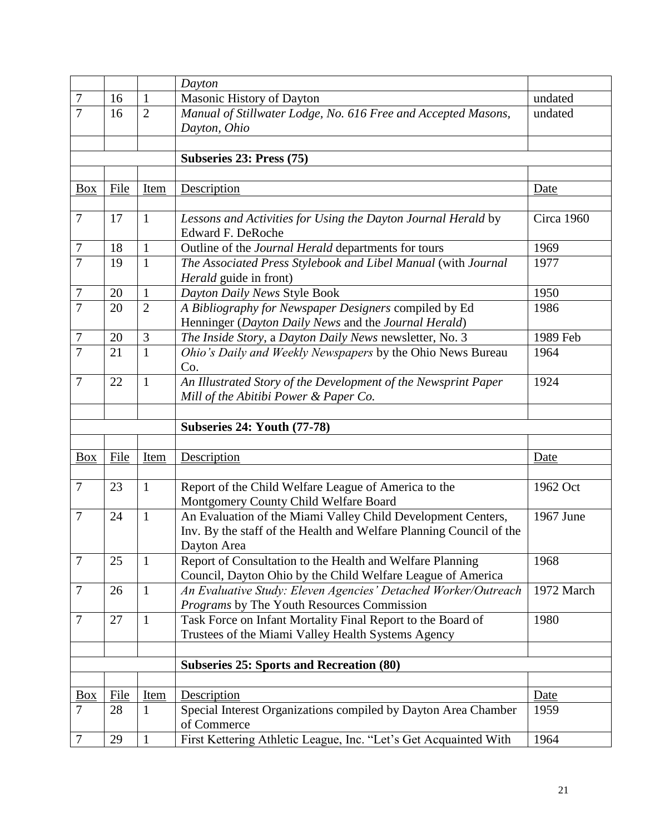|                   |             |                | Dayton                                                                          |            |
|-------------------|-------------|----------------|---------------------------------------------------------------------------------|------------|
| $\overline{7}$    | 16          | $\mathbf{1}$   | Masonic History of Dayton                                                       | undated    |
| $\overline{7}$    | 16          | $\overline{2}$ | Manual of Stillwater Lodge, No. 616 Free and Accepted Masons,                   | undated    |
|                   |             |                | Dayton, Ohio                                                                    |            |
|                   |             |                |                                                                                 |            |
|                   |             |                | Subseries 23: Press (75)                                                        |            |
|                   |             |                |                                                                                 |            |
| <b>Box</b>        | File        | Item           | Description                                                                     | Date       |
|                   |             |                |                                                                                 |            |
| $\overline{7}$    | 17          | $\mathbf{1}$   | Lessons and Activities for Using the Dayton Journal Herald by                   | Circa 1960 |
|                   |             |                | Edward F. DeRoche                                                               |            |
| 7                 | 18          | 1              | Outline of the Journal Herald departments for tours                             | 1969       |
| 7                 | 19          | $\mathbf{1}$   | The Associated Press Stylebook and Libel Manual (with Journal                   | 1977       |
|                   |             |                | <i>Herald</i> guide in front)                                                   |            |
| 7                 | 20          | $\mathbf{1}$   | Dayton Daily News Style Book                                                    | 1950       |
| $\overline{7}$    | 20          | $\overline{2}$ | A Bibliography for Newspaper Designers compiled by Ed                           | 1986       |
|                   |             |                | Henninger (Dayton Daily News and the Journal Herald)                            |            |
| $\overline{7}$    | 20          | 3              | The Inside Story, a Dayton Daily News newsletter, No. 3                         | 1989 Feb   |
| $\overline{7}$    | 21          | $\mathbf{1}$   | Ohio's Daily and Weekly Newspapers by the Ohio News Bureau                      | 1964       |
|                   |             |                | Co.                                                                             |            |
| $\overline{7}$    | 22          | $\mathbf{1}$   | An Illustrated Story of the Development of the Newsprint Paper                  | 1924       |
|                   |             |                | Mill of the Abitibi Power & Paper Co.                                           |            |
|                   |             |                |                                                                                 |            |
|                   |             |                | <b>Subseries 24: Youth (77-78)</b>                                              |            |
|                   |             |                |                                                                                 |            |
| <b>Box</b>        | File        | Item           | Description                                                                     | Date       |
|                   |             |                |                                                                                 |            |
| $\overline{7}$    | 23          | $\mathbf{1}$   | Report of the Child Welfare League of America to the                            | 1962 Oct   |
|                   |             |                | Montgomery County Child Welfare Board                                           |            |
| 7                 | 24          | $\mathbf{1}$   | An Evaluation of the Miami Valley Child Development Centers,                    | 1967 June  |
|                   |             |                | Inv. By the staff of the Health and Welfare Planning Council of the             |            |
|                   |             |                | Dayton Area                                                                     |            |
| $\overline{7}$    | 25          | $\mathbf{1}$   | Report of Consultation to the Health and Welfare Planning                       | 1968       |
|                   |             |                | Council, Dayton Ohio by the Child Welfare League of America                     |            |
| $\overline{7}$    | 26          | $\mathbf{1}$   | An Evaluative Study: Eleven Agencies' Detached Worker/Outreach                  | 1972 March |
|                   |             |                | Programs by The Youth Resources Commission                                      |            |
| $\tau$            | 27          | $\mathbf{1}$   | Task Force on Infant Mortality Final Report to the Board of                     | 1980       |
|                   |             |                | Trustees of the Miami Valley Health Systems Agency                              |            |
|                   |             |                |                                                                                 |            |
|                   |             |                | <b>Subseries 25: Sports and Recreation (80)</b>                                 |            |
|                   |             |                |                                                                                 |            |
| $\underline{Box}$ |             | <b>Item</b>    | Description                                                                     | Date       |
|                   | <b>File</b> |                |                                                                                 |            |
| $\overline{7}$    | 28          | $\mathbf{1}$   | Special Interest Organizations compiled by Dayton Area Chamber                  | 1959       |
| $\overline{7}$    | 29          | $\mathbf{1}$   | of Commerce<br>First Kettering Athletic League, Inc. "Let's Get Acquainted With | 1964       |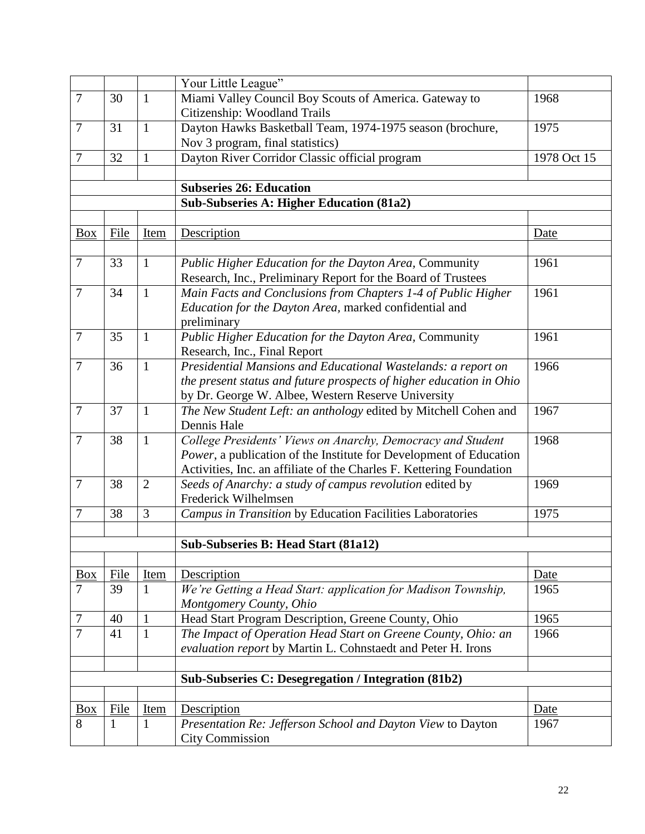|                |              |                | Your Little League"                                                                                                               |             |
|----------------|--------------|----------------|-----------------------------------------------------------------------------------------------------------------------------------|-------------|
| $\overline{7}$ | 30           | $\mathbf{1}$   | Miami Valley Council Boy Scouts of America. Gateway to                                                                            | 1968        |
|                |              |                | Citizenship: Woodland Trails                                                                                                      |             |
| $\overline{7}$ | 31           | $\mathbf{1}$   | Dayton Hawks Basketball Team, 1974-1975 season (brochure,                                                                         | 1975        |
|                |              |                | Nov 3 program, final statistics)                                                                                                  |             |
| $\overline{7}$ | 32           | $\mathbf{1}$   | Dayton River Corridor Classic official program                                                                                    | 1978 Oct 15 |
|                |              |                |                                                                                                                                   |             |
|                |              |                | <b>Subseries 26: Education</b>                                                                                                    |             |
|                |              |                | <b>Sub-Subseries A: Higher Education (81a2)</b>                                                                                   |             |
|                |              |                |                                                                                                                                   |             |
| <b>Box</b>     | File         | Item           | Description                                                                                                                       | Date        |
|                |              |                |                                                                                                                                   |             |
| $\overline{7}$ | 33           | 1              | Public Higher Education for the Dayton Area, Community                                                                            | 1961        |
|                |              |                | Research, Inc., Preliminary Report for the Board of Trustees                                                                      |             |
| $\overline{7}$ | 34           | $\mathbf{1}$   | Main Facts and Conclusions from Chapters 1-4 of Public Higher                                                                     | 1961        |
|                |              |                | Education for the Dayton Area, marked confidential and                                                                            |             |
|                |              |                | preliminary                                                                                                                       |             |
| $\overline{7}$ | 35           | 1              | Public Higher Education for the Dayton Area, Community                                                                            | 1961        |
|                |              |                | Research, Inc., Final Report                                                                                                      |             |
| $\overline{7}$ | 36           | $\mathbf{1}$   | Presidential Mansions and Educational Wastelands: a report on                                                                     | 1966        |
|                |              |                | the present status and future prospects of higher education in Ohio                                                               |             |
|                |              |                | by Dr. George W. Albee, Western Reserve University                                                                                |             |
| $\overline{7}$ | 37           | $\mathbf{1}$   | The New Student Left: an anthology edited by Mitchell Cohen and<br>Dennis Hale                                                    | 1967        |
| $\overline{7}$ | 38           | $\mathbf{1}$   |                                                                                                                                   | 1968        |
|                |              |                | College Presidents' Views on Anarchy, Democracy and Student<br>Power, a publication of the Institute for Development of Education |             |
|                |              |                | Activities, Inc. an affiliate of the Charles F. Kettering Foundation                                                              |             |
| $\tau$         | 38           | $\overline{2}$ | Seeds of Anarchy: a study of campus revolution edited by                                                                          | 1969        |
|                |              |                | Frederick Wilhelmsen                                                                                                              |             |
| $\tau$         | 38           | 3              | Campus in Transition by Education Facilities Laboratories                                                                         | 1975        |
|                |              |                |                                                                                                                                   |             |
|                |              |                | Sub-Subseries B: Head Start (81a12)                                                                                               |             |
|                |              |                |                                                                                                                                   |             |
| Box            | File         | Item           | Description                                                                                                                       | Date        |
| $\overline{7}$ | 39           | 1              | We're Getting a Head Start: application for Madison Township,                                                                     | 1965        |
|                |              |                | Montgomery County, Ohio                                                                                                           |             |
| $\overline{7}$ | 40           | $\mathbf{1}$   | Head Start Program Description, Greene County, Ohio                                                                               | 1965        |
| 7              | 41           | 1              | The Impact of Operation Head Start on Greene County, Ohio: an                                                                     | 1966        |
|                |              |                | evaluation report by Martin L. Cohnstaedt and Peter H. Irons                                                                      |             |
|                |              |                |                                                                                                                                   |             |
|                |              |                | Sub-Subseries C: Desegregation / Integration (81b2)                                                                               |             |
|                |              |                |                                                                                                                                   |             |
| $\frac{Box}{}$ | File         | <b>Item</b>    | <b>Description</b>                                                                                                                | Date        |
| 8              | $\mathbf{1}$ | 1              | Presentation Re: Jefferson School and Dayton View to Dayton                                                                       | 1967        |
|                |              |                | <b>City Commission</b>                                                                                                            |             |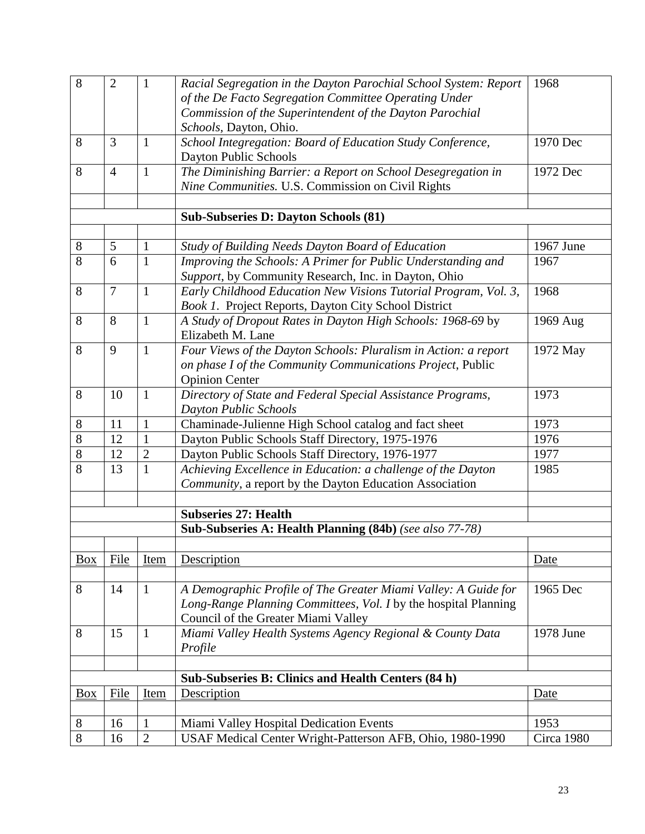| 8          | $\overline{2}$ | $\mathbf{1}$   | Racial Segregation in the Dayton Parochial School System: Report | 1968       |
|------------|----------------|----------------|------------------------------------------------------------------|------------|
|            |                |                | of the De Facto Segregation Committee Operating Under            |            |
|            |                |                | Commission of the Superintendent of the Dayton Parochial         |            |
|            |                |                | Schools, Dayton, Ohio.                                           |            |
| 8          | 3              | $\mathbf{1}$   | School Integregation: Board of Education Study Conference,       | 1970 Dec   |
|            |                |                | Dayton Public Schools                                            |            |
| 8          | $\overline{4}$ | 1              | The Diminishing Barrier: a Report on School Desegregation in     | 1972 Dec   |
|            |                |                | Nine Communities. U.S. Commission on Civil Rights                |            |
|            |                |                |                                                                  |            |
|            |                |                | <b>Sub-Subseries D: Dayton Schools (81)</b>                      |            |
|            |                |                |                                                                  |            |
| 8          | 5              | $\mathbf{1}$   | <b>Study of Building Needs Dayton Board of Education</b>         | 1967 June  |
| 8          | 6              | $\mathbf{1}$   | Improving the Schools: A Primer for Public Understanding and     | 1967       |
|            |                |                | Support, by Community Research, Inc. in Dayton, Ohio             |            |
| 8          | $\tau$         | $\mathbf{1}$   | Early Childhood Education New Visions Tutorial Program, Vol. 3,  | 1968       |
|            |                |                | Book 1. Project Reports, Dayton City School District             |            |
| 8          | 8              | $\mathbf{1}$   | A Study of Dropout Rates in Dayton High Schools: 1968-69 by      | 1969 Aug   |
|            |                |                | Elizabeth M. Lane                                                |            |
| 8          | 9              | $\mathbf{1}$   | Four Views of the Dayton Schools: Pluralism in Action: a report  | 1972 May   |
|            |                |                | on phase I of the Community Communications Project, Public       |            |
|            |                |                | <b>Opinion Center</b>                                            |            |
| 8          | 10             | $\mathbf{1}$   | Directory of State and Federal Special Assistance Programs,      | 1973       |
|            |                |                | <b>Dayton Public Schools</b>                                     |            |
| 8          | 11             | $\mathbf{1}$   | Chaminade-Julienne High School catalog and fact sheet            | 1973       |
| 8          | 12             | $\mathbf{1}$   | Dayton Public Schools Staff Directory, 1975-1976                 | 1976       |
| 8          | 12             | $\overline{2}$ | Dayton Public Schools Staff Directory, 1976-1977                 | 1977       |
| 8          | 13             | $\mathbf{1}$   | Achieving Excellence in Education: a challenge of the Dayton     | 1985       |
|            |                |                | Community, a report by the Dayton Education Association          |            |
|            |                |                |                                                                  |            |
|            |                |                | <b>Subseries 27: Health</b>                                      |            |
|            |                |                | Sub-Subseries A: Health Planning (84b) (see also 77-78)          |            |
|            |                |                |                                                                  |            |
| <b>Box</b> | File           | Item           | Description                                                      | Date       |
|            |                |                |                                                                  |            |
| 8          | 14             | $\mathbf{1}$   | A Demographic Profile of The Greater Miami Valley: A Guide for   | 1965 Dec   |
|            |                |                | Long-Range Planning Committees, Vol. I by the hospital Planning  |            |
|            |                |                | Council of the Greater Miami Valley                              |            |
| 8          | 15             | $\mathbf{1}$   | Miami Valley Health Systems Agency Regional & County Data        | 1978 June  |
|            |                |                | Profile                                                          |            |
|            |                |                |                                                                  |            |
|            |                |                | Sub-Subseries B: Clinics and Health Centers (84 h)               |            |
| <b>Box</b> | File           | Item           | Description                                                      | Date       |
|            |                |                |                                                                  |            |
| 8          | 16             | 1              | Miami Valley Hospital Dedication Events                          | 1953       |
| 8          | 16             | $\overline{2}$ | USAF Medical Center Wright-Patterson AFB, Ohio, 1980-1990        | Circa 1980 |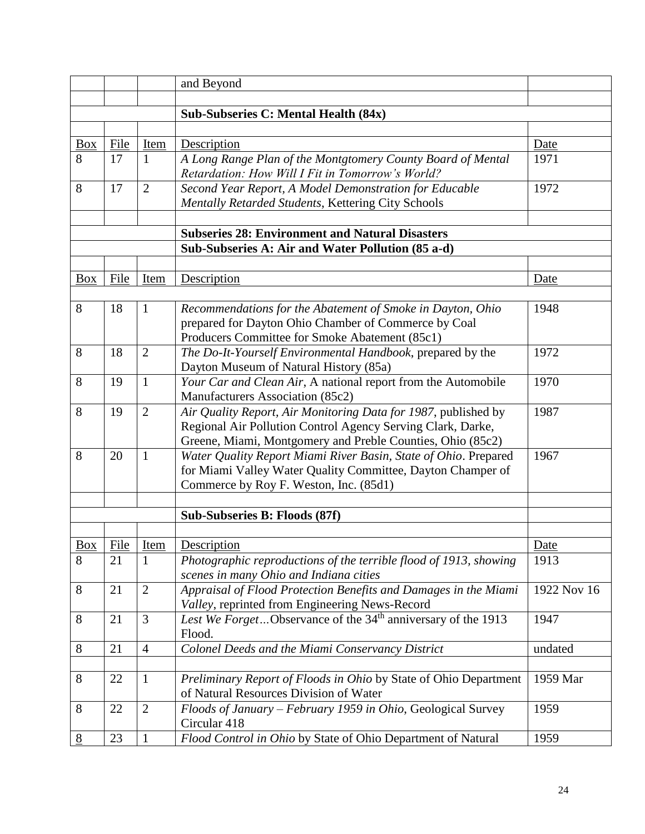|                   |      |                | and Beyond                                                                                                         |             |
|-------------------|------|----------------|--------------------------------------------------------------------------------------------------------------------|-------------|
|                   |      |                |                                                                                                                    |             |
|                   |      |                | <b>Sub-Subseries C: Mental Health (84x)</b>                                                                        |             |
|                   |      |                |                                                                                                                    |             |
| <b>Box</b>        | File | Item           | Description                                                                                                        | Date        |
| 8                 | 17   | 1              | A Long Range Plan of the Montgtomery County Board of Mental                                                        | 1971        |
|                   |      |                | Retardation: How Will I Fit in Tomorrow's World?                                                                   |             |
| 8                 | 17   | $\overline{2}$ | Second Year Report, A Model Demonstration for Educable                                                             | 1972        |
|                   |      |                | Mentally Retarded Students, Kettering City Schools                                                                 |             |
|                   |      |                |                                                                                                                    |             |
|                   |      |                | <b>Subseries 28: Environment and Natural Disasters</b>                                                             |             |
|                   |      |                | Sub-Subseries A: Air and Water Pollution (85 a-d)                                                                  |             |
|                   |      |                |                                                                                                                    |             |
| <b>Box</b>        | File | Item           | Description                                                                                                        | Date        |
| 8                 | 18   | $\mathbf{1}$   |                                                                                                                    | 1948        |
|                   |      |                | Recommendations for the Abatement of Smoke in Dayton, Ohio<br>prepared for Dayton Ohio Chamber of Commerce by Coal |             |
|                   |      |                | Producers Committee for Smoke Abatement (85c1)                                                                     |             |
| 8                 | 18   | $\overline{2}$ | The Do-It-Yourself Environmental Handbook, prepared by the                                                         | 1972        |
|                   |      |                | Dayton Museum of Natural History (85a)                                                                             |             |
| 8                 | 19   | $\mathbf{1}$   | Your Car and Clean Air, A national report from the Automobile                                                      | 1970        |
|                   |      |                | Manufacturers Association (85c2)                                                                                   |             |
| 8                 | 19   | $\overline{2}$ | Air Quality Report, Air Monitoring Data for 1987, published by                                                     | 1987        |
|                   |      |                | Regional Air Pollution Control Agency Serving Clark, Darke,                                                        |             |
|                   |      |                | Greene, Miami, Montgomery and Preble Counties, Ohio (85c2)                                                         |             |
| 8                 | 20   | $\mathbf{1}$   | Water Quality Report Miami River Basin, State of Ohio. Prepared                                                    | 1967        |
|                   |      |                | for Miami Valley Water Quality Committee, Dayton Champer of                                                        |             |
|                   |      |                | Commerce by Roy F. Weston, Inc. (85d1)                                                                             |             |
|                   |      |                |                                                                                                                    |             |
|                   |      |                | Sub-Subseries B: Floods (87f)                                                                                      |             |
|                   |      |                |                                                                                                                    |             |
| $\underline{Box}$ | File | Item           | Description                                                                                                        | Date        |
| 8                 | 21   | $\mathbf{1}$   | Photographic reproductions of the terrible flood of 1913, showing                                                  | 1913        |
|                   |      |                | scenes in many Ohio and Indiana cities                                                                             |             |
| 8                 | 21   | $\overline{2}$ | Appraisal of Flood Protection Benefits and Damages in the Miami                                                    | 1922 Nov 16 |
|                   |      |                | Valley, reprinted from Engineering News-Record                                                                     |             |
| 8                 | 21   | 3              | Lest We ForgetObservance of the 34 <sup>th</sup> anniversary of the 1913                                           | 1947        |
| 8                 | 21   | $\overline{4}$ | Flood.<br>Colonel Deeds and the Miami Conservancy District                                                         |             |
|                   |      |                |                                                                                                                    | undated     |
| 8                 | 22   | $\mathbf{1}$   | Preliminary Report of Floods in Ohio by State of Ohio Department                                                   | 1959 Mar    |
|                   |      |                | of Natural Resources Division of Water                                                                             |             |
| 8                 | 22   | $\overline{2}$ | Floods of January - February 1959 in Ohio, Geological Survey                                                       | 1959        |
|                   |      |                | Circular 418                                                                                                       |             |
| $8\,$             | 23   | $\mathbf{1}$   | Flood Control in Ohio by State of Ohio Department of Natural                                                       | 1959        |